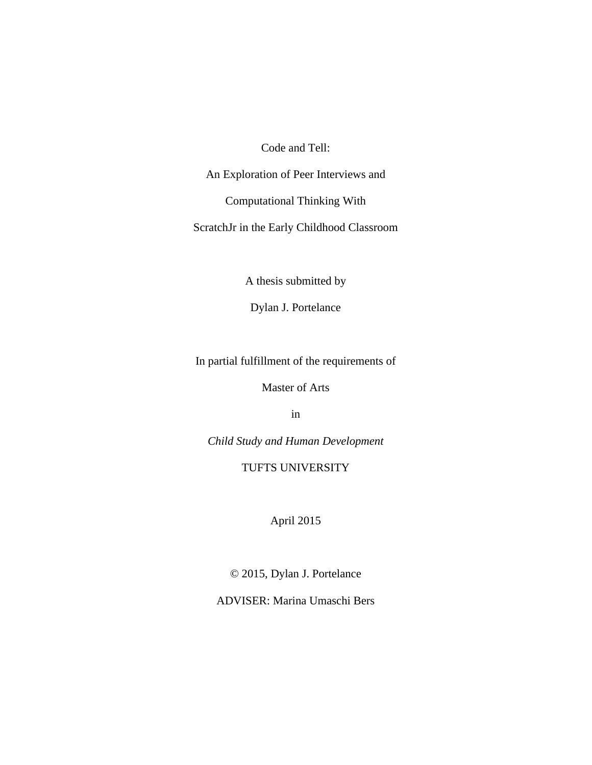Code and Tell:

An Exploration of Peer Interviews and

Computational Thinking With

ScratchJr in the Early Childhood Classroom

A thesis submitted by

Dylan J. Portelance

In partial fulfillment of the requirements of

Master of Arts

in

*Child Study and Human Development*

TUFTS UNIVERSITY

April 2015

© 2015, Dylan J. Portelance

ADVISER: Marina Umaschi Bers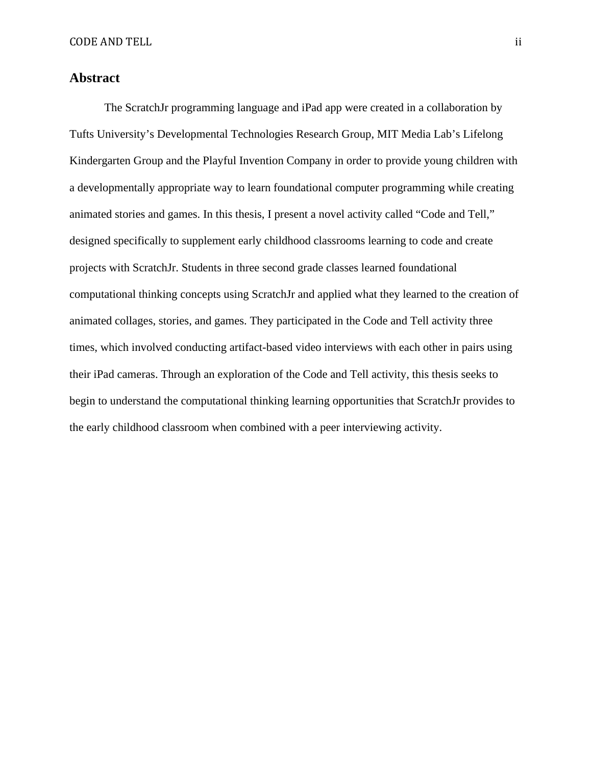# **Abstract**

The ScratchJr programming language and iPad app were created in a collaboration by Tufts University's Developmental Technologies Research Group, MIT Media Lab's Lifelong Kindergarten Group and the Playful Invention Company in order to provide young children with a developmentally appropriate way to learn foundational computer programming while creating animated stories and games. In this thesis, I present a novel activity called "Code and Tell," designed specifically to supplement early childhood classrooms learning to code and create projects with ScratchJr. Students in three second grade classes learned foundational computational thinking concepts using ScratchJr and applied what they learned to the creation of animated collages, stories, and games. They participated in the Code and Tell activity three times, which involved conducting artifact-based video interviews with each other in pairs using their iPad cameras. Through an exploration of the Code and Tell activity, this thesis seeks to begin to understand the computational thinking learning opportunities that ScratchJr provides to the early childhood classroom when combined with a peer interviewing activity.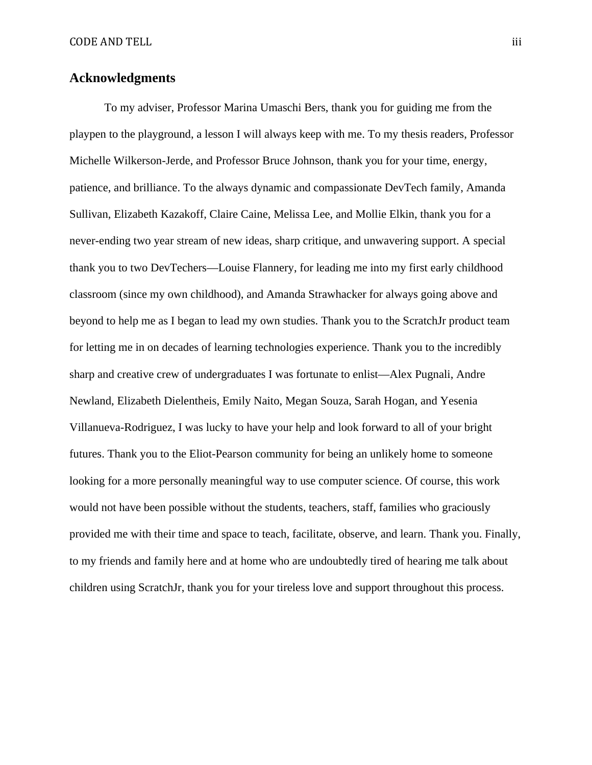# **Acknowledgments**

To my adviser, Professor Marina Umaschi Bers, thank you for guiding me from the playpen to the playground, a lesson I will always keep with me. To my thesis readers, Professor Michelle Wilkerson-Jerde, and Professor Bruce Johnson, thank you for your time, energy, patience, and brilliance. To the always dynamic and compassionate DevTech family, Amanda Sullivan, Elizabeth Kazakoff, Claire Caine, Melissa Lee, and Mollie Elkin, thank you for a never-ending two year stream of new ideas, sharp critique, and unwavering support. A special thank you to two DevTechers—Louise Flannery, for leading me into my first early childhood classroom (since my own childhood), and Amanda Strawhacker for always going above and beyond to help me as I began to lead my own studies. Thank you to the ScratchJr product team for letting me in on decades of learning technologies experience. Thank you to the incredibly sharp and creative crew of undergraduates I was fortunate to enlist—Alex Pugnali, Andre Newland, Elizabeth Dielentheis, Emily Naito, Megan Souza, Sarah Hogan, and Yesenia Villanueva-Rodriguez, I was lucky to have your help and look forward to all of your bright futures. Thank you to the Eliot-Pearson community for being an unlikely home to someone looking for a more personally meaningful way to use computer science. Of course, this work would not have been possible without the students, teachers, staff, families who graciously provided me with their time and space to teach, facilitate, observe, and learn. Thank you. Finally, to my friends and family here and at home who are undoubtedly tired of hearing me talk about children using ScratchJr, thank you for your tireless love and support throughout this process.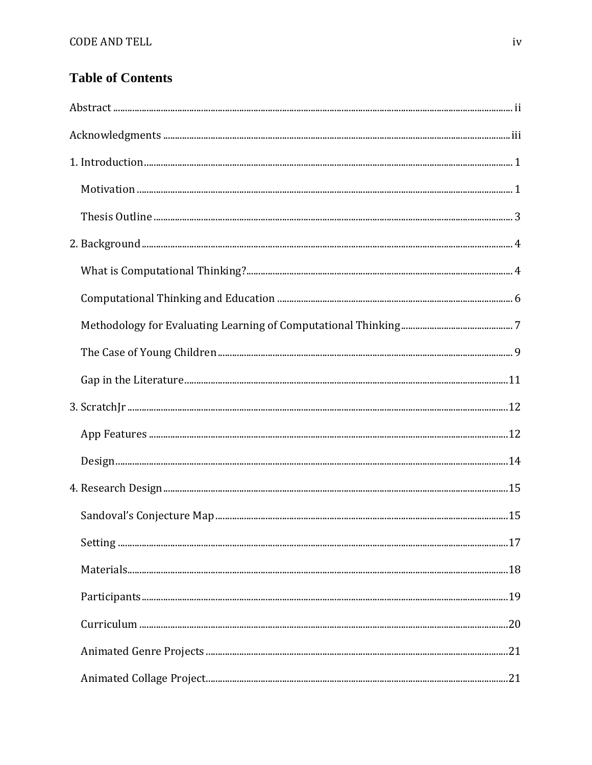# **Table of Contents**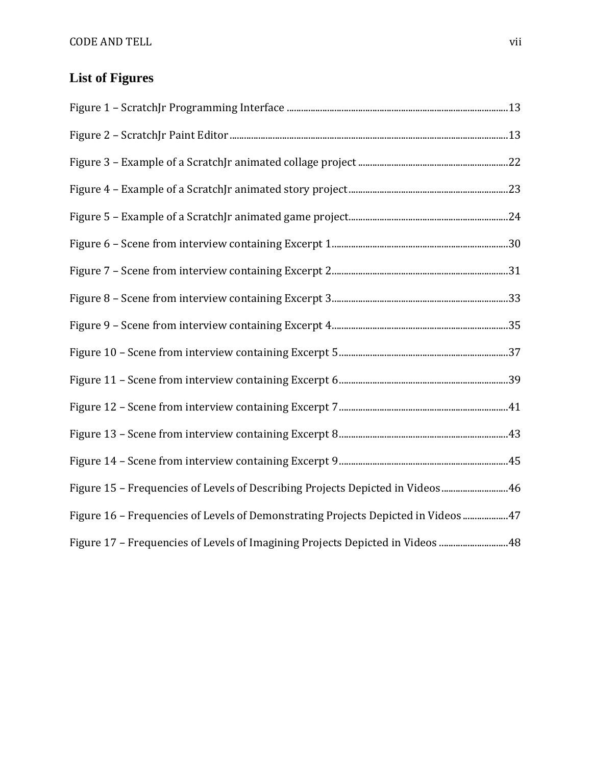# **List of Figures**

| Figure 15 - Frequencies of Levels of Describing Projects Depicted in Videos  46   |  |
|-----------------------------------------------------------------------------------|--|
| Figure 16 - Frequencies of Levels of Demonstrating Projects Depicted in Videos 47 |  |
| Figure 17 - Frequencies of Levels of Imagining Projects Depicted in Videos  48    |  |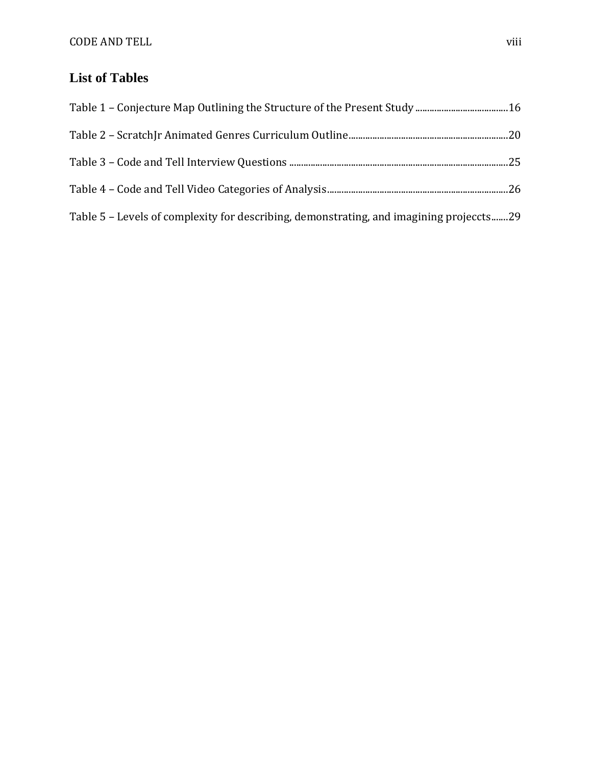# **List of Tables**

| Table 5 – Levels of complexity for describing, demonstrating, and imagining projeccts29 |  |
|-----------------------------------------------------------------------------------------|--|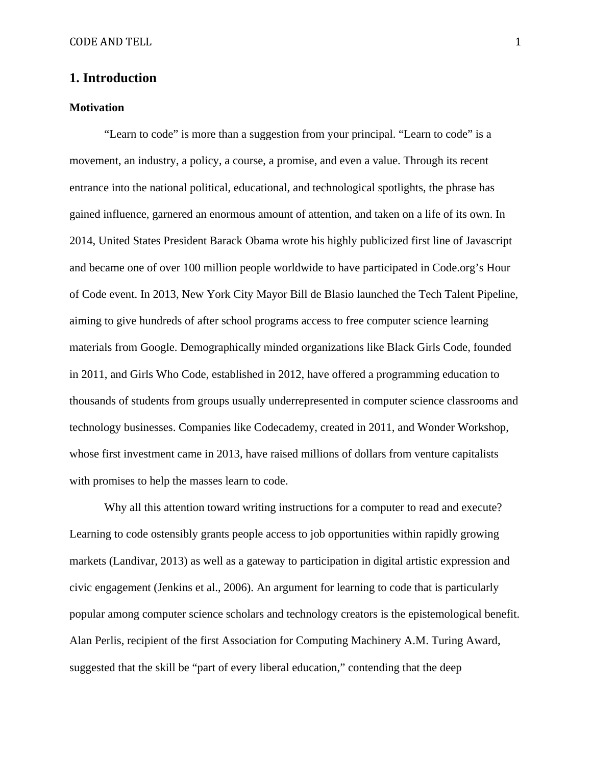# **1. Introduction**

#### **Motivation**

"Learn to code" is more than a suggestion from your principal. "Learn to code" is a movement, an industry, a policy, a course, a promise, and even a value. Through its recent entrance into the national political, educational, and technological spotlights, the phrase has gained influence, garnered an enormous amount of attention, and taken on a life of its own. In 2014, United States President Barack Obama wrote his highly publicized first line of Javascript and became one of over 100 million people worldwide to have participated in Code.org's Hour of Code event. In 2013, New York City Mayor Bill de Blasio launched the Tech Talent Pipeline, aiming to give hundreds of after school programs access to free computer science learning materials from Google. Demographically minded organizations like Black Girls Code, founded in 2011, and Girls Who Code, established in 2012, have offered a programming education to thousands of students from groups usually underrepresented in computer science classrooms and technology businesses. Companies like Codecademy, created in 2011, and Wonder Workshop, whose first investment came in 2013, have raised millions of dollars from venture capitalists with promises to help the masses learn to code.

Why all this attention toward writing instructions for a computer to read and execute? Learning to code ostensibly grants people access to job opportunities within rapidly growing markets (Landivar, 2013) as well as a gateway to participation in digital artistic expression and civic engagement (Jenkins et al., 2006). An argument for learning to code that is particularly popular among computer science scholars and technology creators is the epistemological benefit. Alan Perlis, recipient of the first Association for Computing Machinery A.M. Turing Award, suggested that the skill be "part of every liberal education," contending that the deep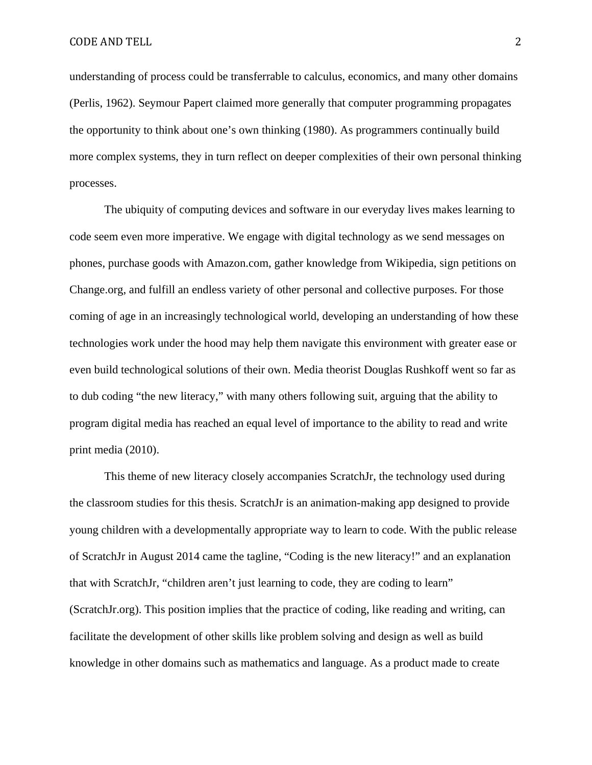understanding of process could be transferrable to calculus, economics, and many other domains (Perlis, 1962). Seymour Papert claimed more generally that computer programming propagates the opportunity to think about one's own thinking (1980). As programmers continually build more complex systems, they in turn reflect on deeper complexities of their own personal thinking processes.

The ubiquity of computing devices and software in our everyday lives makes learning to code seem even more imperative. We engage with digital technology as we send messages on phones, purchase goods with Amazon.com, gather knowledge from Wikipedia, sign petitions on Change.org, and fulfill an endless variety of other personal and collective purposes. For those coming of age in an increasingly technological world, developing an understanding of how these technologies work under the hood may help them navigate this environment with greater ease or even build technological solutions of their own. Media theorist Douglas Rushkoff went so far as to dub coding "the new literacy," with many others following suit, arguing that the ability to program digital media has reached an equal level of importance to the ability to read and write print media (2010).

This theme of new literacy closely accompanies ScratchJr, the technology used during the classroom studies for this thesis. ScratchJr is an animation-making app designed to provide young children with a developmentally appropriate way to learn to code. With the public release of ScratchJr in August 2014 came the tagline, "Coding is the new literacy!" and an explanation that with ScratchJr, "children aren't just learning to code, they are coding to learn" (ScratchJr.org). This position implies that the practice of coding, like reading and writing, can facilitate the development of other skills like problem solving and design as well as build knowledge in other domains such as mathematics and language. As a product made to create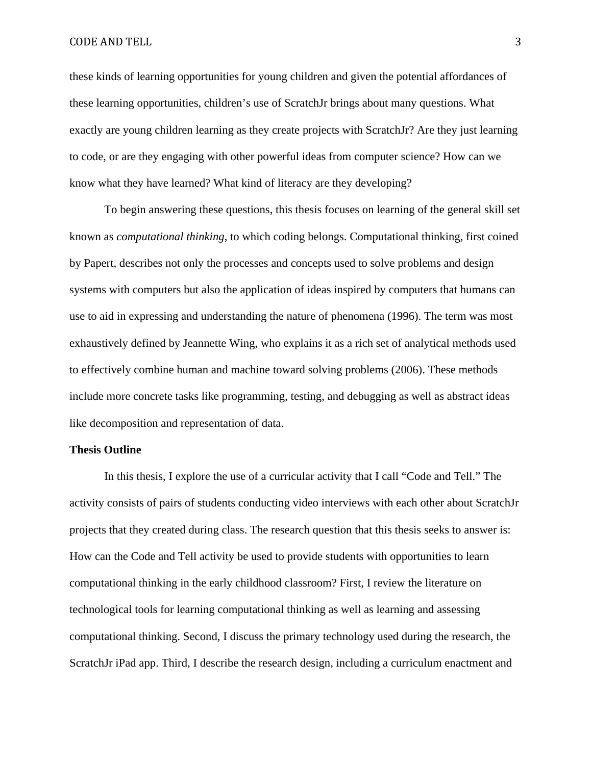#### CODE AND TELL 3

these kinds of learning opportunities for young children and given the potential affordances of these learning opportunities, children's use of ScratchJr brings about many questions. What exactly are young children learning as they create projects with ScratchJr? Are they just learning to code, or are they engaging with other powerful ideas from computer science? How can we know what they have learned? What kind of literacy are they developing?

To begin answering these questions, this thesis focuses on learning of the general skill set known as *computational thinking*, to which coding belongs. Computational thinking, first coined by Papert, describes not only the processes and concepts used to solve problems and design systems with computers but also the application of ideas inspired by computers that humans can use to aid in expressing and understanding the nature of phenomena (1996). The term was most exhaustively defined by Jeannette Wing, who explains it as a rich set of analytical methods used to effectively combine human and machine toward solving problems (2006). These methods include more concrete tasks like programming, testing, and debugging as well as abstract ideas like decomposition and representation of data.

#### **Thesis Outline**

In this thesis, I explore the use of a curricular activity that I call "Code and Tell." The activity consists of pairs of students conducting video interviews with each other about ScratchJr projects that they created during class. The research question that this thesis seeks to answer is: How can the Code and Tell activity be used to provide students with opportunities to learn computational thinking in the early childhood classroom? First, I review the literature on technological tools for learning computational thinking as well as learning and assessing computational thinking. Second, I discuss the primary technology used during the research, the ScratchJr iPad app. Third, I describe the research design, including a curriculum enactment and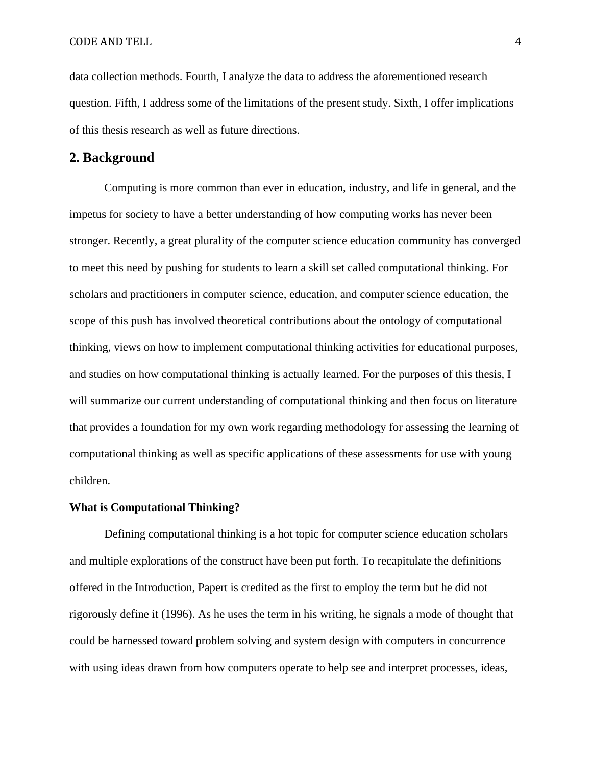data collection methods. Fourth, I analyze the data to address the aforementioned research question. Fifth, I address some of the limitations of the present study. Sixth, I offer implications of this thesis research as well as future directions.

## **2. Background**

Computing is more common than ever in education, industry, and life in general, and the impetus for society to have a better understanding of how computing works has never been stronger. Recently, a great plurality of the computer science education community has converged to meet this need by pushing for students to learn a skill set called computational thinking. For scholars and practitioners in computer science, education, and computer science education, the scope of this push has involved theoretical contributions about the ontology of computational thinking, views on how to implement computational thinking activities for educational purposes, and studies on how computational thinking is actually learned. For the purposes of this thesis, I will summarize our current understanding of computational thinking and then focus on literature that provides a foundation for my own work regarding methodology for assessing the learning of computational thinking as well as specific applications of these assessments for use with young children.

#### **What is Computational Thinking?**

Defining computational thinking is a hot topic for computer science education scholars and multiple explorations of the construct have been put forth. To recapitulate the definitions offered in the Introduction, Papert is credited as the first to employ the term but he did not rigorously define it (1996). As he uses the term in his writing, he signals a mode of thought that could be harnessed toward problem solving and system design with computers in concurrence with using ideas drawn from how computers operate to help see and interpret processes, ideas,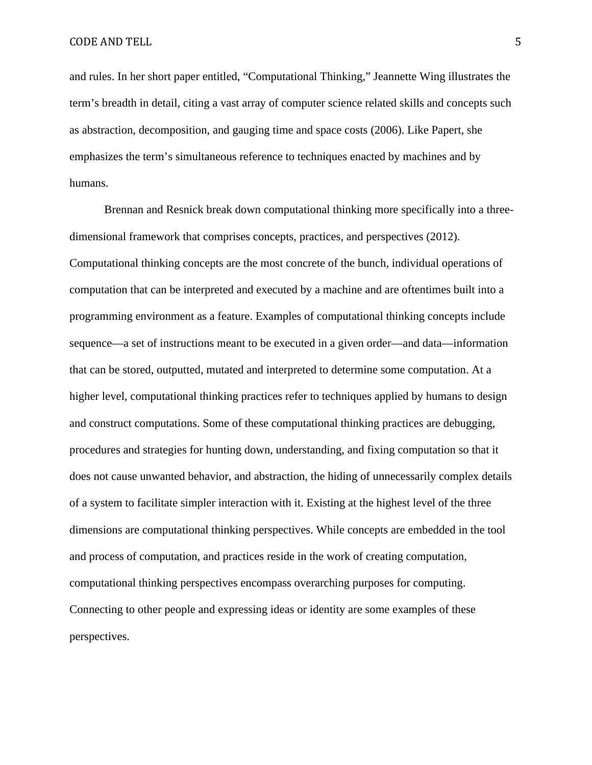and rules. In her short paper entitled, "Computational Thinking," Jeannette Wing illustrates the term's breadth in detail, citing a vast array of computer science related skills and concepts such as abstraction, decomposition, and gauging time and space costs (2006). Like Papert, she emphasizes the term's simultaneous reference to techniques enacted by machines and by humans.

Brennan and Resnick break down computational thinking more specifically into a threedimensional framework that comprises concepts, practices, and perspectives (2012). Computational thinking concepts are the most concrete of the bunch, individual operations of computation that can be interpreted and executed by a machine and are oftentimes built into a programming environment as a feature. Examples of computational thinking concepts include sequence—a set of instructions meant to be executed in a given order—and data—information that can be stored, outputted, mutated and interpreted to determine some computation. At a higher level, computational thinking practices refer to techniques applied by humans to design and construct computations. Some of these computational thinking practices are debugging, procedures and strategies for hunting down, understanding, and fixing computation so that it does not cause unwanted behavior, and abstraction, the hiding of unnecessarily complex details of a system to facilitate simpler interaction with it. Existing at the highest level of the three dimensions are computational thinking perspectives. While concepts are embedded in the tool and process of computation, and practices reside in the work of creating computation, computational thinking perspectives encompass overarching purposes for computing. Connecting to other people and expressing ideas or identity are some examples of these perspectives.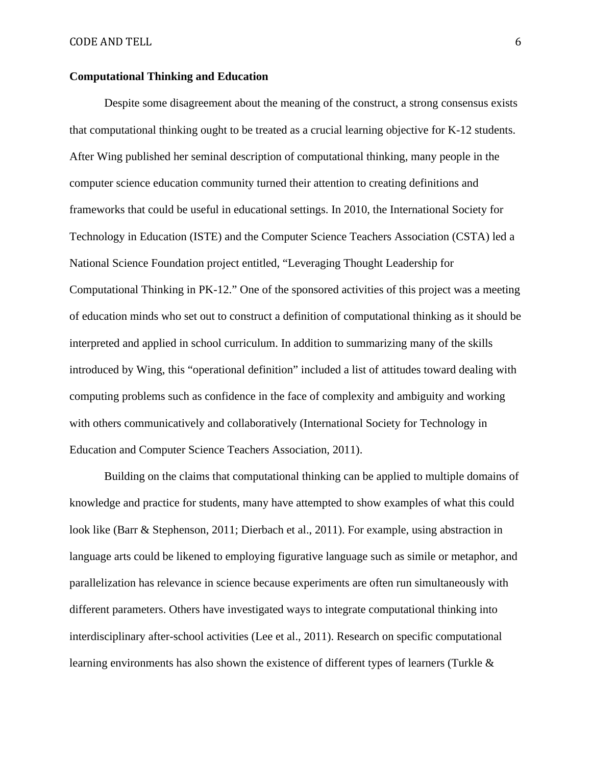### **Computational Thinking and Education**

Despite some disagreement about the meaning of the construct, a strong consensus exists that computational thinking ought to be treated as a crucial learning objective for K-12 students. After Wing published her seminal description of computational thinking, many people in the computer science education community turned their attention to creating definitions and frameworks that could be useful in educational settings. In 2010, the International Society for Technology in Education (ISTE) and the Computer Science Teachers Association (CSTA) led a National Science Foundation project entitled, "Leveraging Thought Leadership for Computational Thinking in PK-12." One of the sponsored activities of this project was a meeting of education minds who set out to construct a definition of computational thinking as it should be interpreted and applied in school curriculum. In addition to summarizing many of the skills introduced by Wing, this "operational definition" included a list of attitudes toward dealing with computing problems such as confidence in the face of complexity and ambiguity and working with others communicatively and collaboratively (International Society for Technology in Education and Computer Science Teachers Association, 2011).

Building on the claims that computational thinking can be applied to multiple domains of knowledge and practice for students, many have attempted to show examples of what this could look like (Barr & Stephenson, 2011; Dierbach et al., 2011). For example, using abstraction in language arts could be likened to employing figurative language such as simile or metaphor, and parallelization has relevance in science because experiments are often run simultaneously with different parameters. Others have investigated ways to integrate computational thinking into interdisciplinary after-school activities (Lee et al., 2011). Research on specific computational learning environments has also shown the existence of different types of learners (Turkle &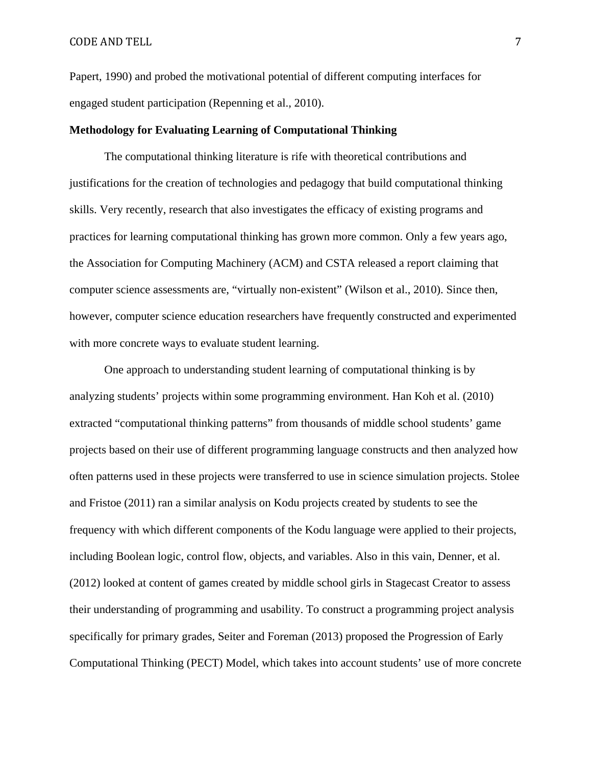Papert, 1990) and probed the motivational potential of different computing interfaces for engaged student participation (Repenning et al., 2010).

#### **Methodology for Evaluating Learning of Computational Thinking**

The computational thinking literature is rife with theoretical contributions and justifications for the creation of technologies and pedagogy that build computational thinking skills. Very recently, research that also investigates the efficacy of existing programs and practices for learning computational thinking has grown more common. Only a few years ago, the Association for Computing Machinery (ACM) and CSTA released a report claiming that computer science assessments are, "virtually non-existent" (Wilson et al., 2010). Since then, however, computer science education researchers have frequently constructed and experimented with more concrete ways to evaluate student learning.

One approach to understanding student learning of computational thinking is by analyzing students' projects within some programming environment. Han Koh et al. (2010) extracted "computational thinking patterns" from thousands of middle school students' game projects based on their use of different programming language constructs and then analyzed how often patterns used in these projects were transferred to use in science simulation projects. Stolee and Fristoe (2011) ran a similar analysis on Kodu projects created by students to see the frequency with which different components of the Kodu language were applied to their projects, including Boolean logic, control flow, objects, and variables. Also in this vain, Denner, et al. (2012) looked at content of games created by middle school girls in Stagecast Creator to assess their understanding of programming and usability. To construct a programming project analysis specifically for primary grades, Seiter and Foreman (2013) proposed the Progression of Early Computational Thinking (PECT) Model, which takes into account students' use of more concrete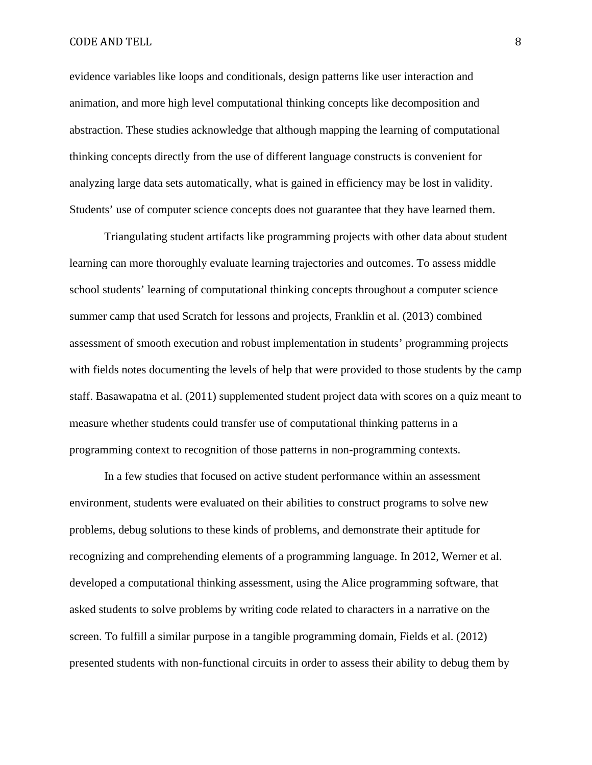#### CODE AND TELL 8

evidence variables like loops and conditionals, design patterns like user interaction and animation, and more high level computational thinking concepts like decomposition and abstraction. These studies acknowledge that although mapping the learning of computational thinking concepts directly from the use of different language constructs is convenient for analyzing large data sets automatically, what is gained in efficiency may be lost in validity. Students' use of computer science concepts does not guarantee that they have learned them.

Triangulating student artifacts like programming projects with other data about student learning can more thoroughly evaluate learning trajectories and outcomes. To assess middle school students' learning of computational thinking concepts throughout a computer science summer camp that used Scratch for lessons and projects, Franklin et al. (2013) combined assessment of smooth execution and robust implementation in students' programming projects with fields notes documenting the levels of help that were provided to those students by the camp staff. Basawapatna et al. (2011) supplemented student project data with scores on a quiz meant to measure whether students could transfer use of computational thinking patterns in a programming context to recognition of those patterns in non-programming contexts.

In a few studies that focused on active student performance within an assessment environment, students were evaluated on their abilities to construct programs to solve new problems, debug solutions to these kinds of problems, and demonstrate their aptitude for recognizing and comprehending elements of a programming language. In 2012, Werner et al. developed a computational thinking assessment, using the Alice programming software, that asked students to solve problems by writing code related to characters in a narrative on the screen. To fulfill a similar purpose in a tangible programming domain, Fields et al. (2012) presented students with non-functional circuits in order to assess their ability to debug them by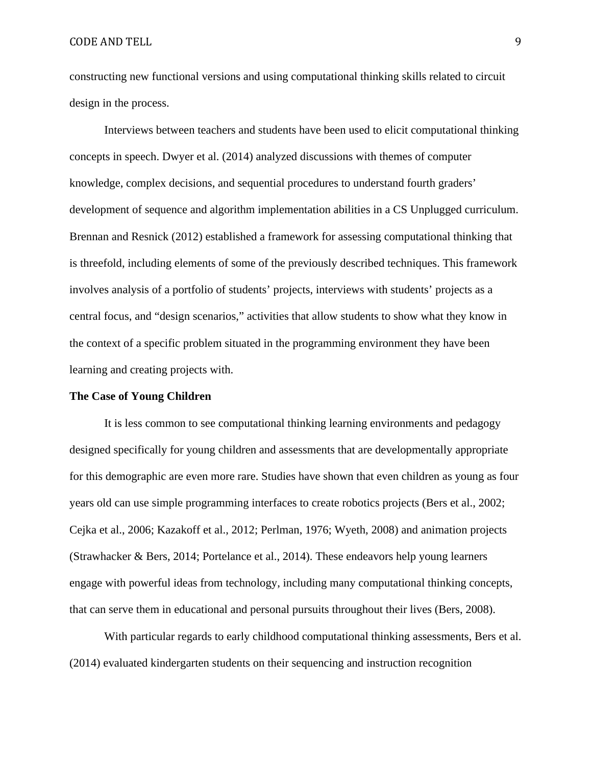constructing new functional versions and using computational thinking skills related to circuit design in the process.

Interviews between teachers and students have been used to elicit computational thinking concepts in speech. Dwyer et al. (2014) analyzed discussions with themes of computer knowledge, complex decisions, and sequential procedures to understand fourth graders' development of sequence and algorithm implementation abilities in a CS Unplugged curriculum. Brennan and Resnick (2012) established a framework for assessing computational thinking that is threefold, including elements of some of the previously described techniques. This framework involves analysis of a portfolio of students' projects, interviews with students' projects as a central focus, and "design scenarios," activities that allow students to show what they know in the context of a specific problem situated in the programming environment they have been learning and creating projects with.

#### **The Case of Young Children**

It is less common to see computational thinking learning environments and pedagogy designed specifically for young children and assessments that are developmentally appropriate for this demographic are even more rare. Studies have shown that even children as young as four years old can use simple programming interfaces to create robotics projects (Bers et al., 2002; Cejka et al., 2006; Kazakoff et al., 2012; Perlman, 1976; Wyeth, 2008) and animation projects (Strawhacker & Bers, 2014; Portelance et al., 2014). These endeavors help young learners engage with powerful ideas from technology, including many computational thinking concepts, that can serve them in educational and personal pursuits throughout their lives (Bers, 2008).

With particular regards to early childhood computational thinking assessments, Bers et al. (2014) evaluated kindergarten students on their sequencing and instruction recognition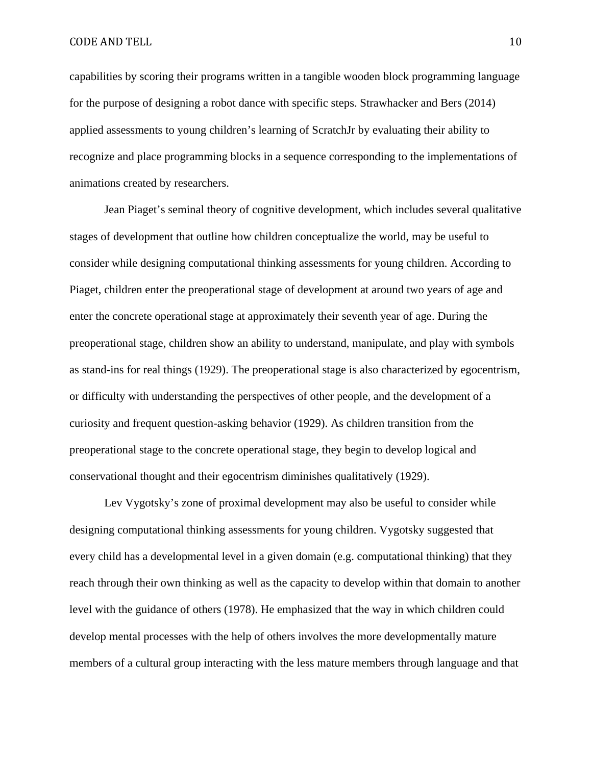CODE AND TELL 2008 2009 10

capabilities by scoring their programs written in a tangible wooden block programming language for the purpose of designing a robot dance with specific steps. Strawhacker and Bers (2014) applied assessments to young children's learning of ScratchJr by evaluating their ability to recognize and place programming blocks in a sequence corresponding to the implementations of animations created by researchers.

Jean Piaget's seminal theory of cognitive development, which includes several qualitative stages of development that outline how children conceptualize the world, may be useful to consider while designing computational thinking assessments for young children. According to Piaget, children enter the preoperational stage of development at around two years of age and enter the concrete operational stage at approximately their seventh year of age. During the preoperational stage, children show an ability to understand, manipulate, and play with symbols as stand-ins for real things (1929). The preoperational stage is also characterized by egocentrism, or difficulty with understanding the perspectives of other people, and the development of a curiosity and frequent question-asking behavior (1929). As children transition from the preoperational stage to the concrete operational stage, they begin to develop logical and conservational thought and their egocentrism diminishes qualitatively (1929).

Lev Vygotsky's zone of proximal development may also be useful to consider while designing computational thinking assessments for young children. Vygotsky suggested that every child has a developmental level in a given domain (e.g. computational thinking) that they reach through their own thinking as well as the capacity to develop within that domain to another level with the guidance of others (1978). He emphasized that the way in which children could develop mental processes with the help of others involves the more developmentally mature members of a cultural group interacting with the less mature members through language and that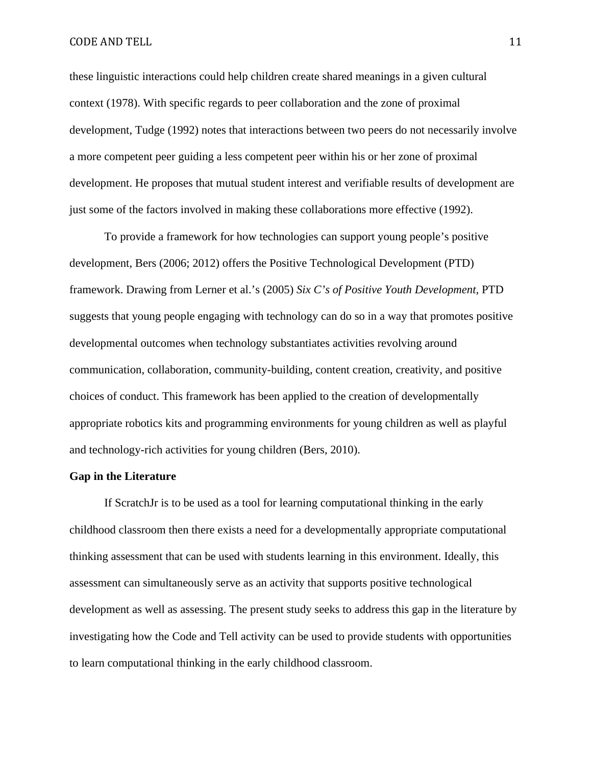#### CODE AND TELL 2008 2009 11

these linguistic interactions could help children create shared meanings in a given cultural context (1978). With specific regards to peer collaboration and the zone of proximal development, Tudge (1992) notes that interactions between two peers do not necessarily involve a more competent peer guiding a less competent peer within his or her zone of proximal development. He proposes that mutual student interest and verifiable results of development are just some of the factors involved in making these collaborations more effective (1992).

To provide a framework for how technologies can support young people's positive development, Bers (2006; 2012) offers the Positive Technological Development (PTD) framework. Drawing from Lerner et al.'s (2005) *Six C's of Positive Youth Development*, PTD suggests that young people engaging with technology can do so in a way that promotes positive developmental outcomes when technology substantiates activities revolving around communication, collaboration, community-building, content creation, creativity, and positive choices of conduct. This framework has been applied to the creation of developmentally appropriate robotics kits and programming environments for young children as well as playful and technology-rich activities for young children (Bers, 2010).

#### **Gap in the Literature**

If ScratchJr is to be used as a tool for learning computational thinking in the early childhood classroom then there exists a need for a developmentally appropriate computational thinking assessment that can be used with students learning in this environment. Ideally, this assessment can simultaneously serve as an activity that supports positive technological development as well as assessing. The present study seeks to address this gap in the literature by investigating how the Code and Tell activity can be used to provide students with opportunities to learn computational thinking in the early childhood classroom.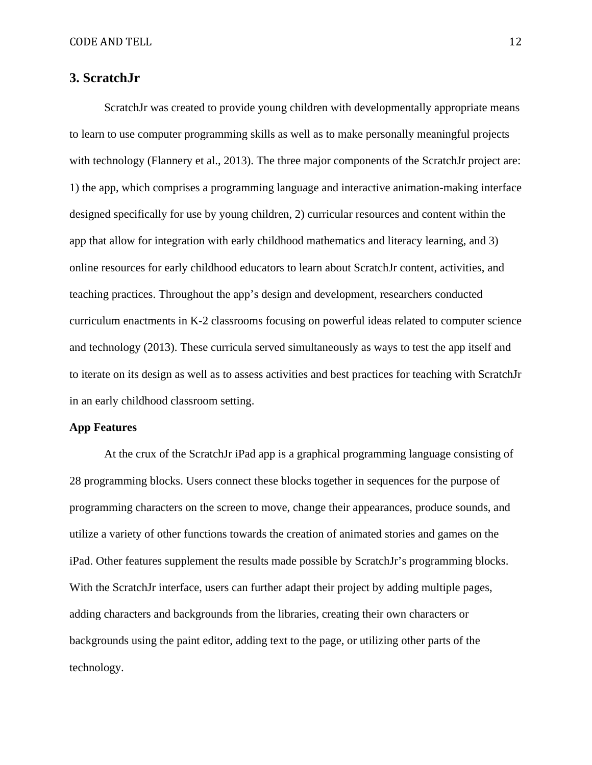# **3. ScratchJr**

ScratchJr was created to provide young children with developmentally appropriate means to learn to use computer programming skills as well as to make personally meaningful projects with technology (Flannery et al., 2013). The three major components of the ScratchJr project are: 1) the app, which comprises a programming language and interactive animation-making interface designed specifically for use by young children, 2) curricular resources and content within the app that allow for integration with early childhood mathematics and literacy learning, and 3) online resources for early childhood educators to learn about ScratchJr content, activities, and teaching practices. Throughout the app's design and development, researchers conducted curriculum enactments in K-2 classrooms focusing on powerful ideas related to computer science and technology (2013). These curricula served simultaneously as ways to test the app itself and to iterate on its design as well as to assess activities and best practices for teaching with ScratchJr in an early childhood classroom setting.

## **App Features**

At the crux of the ScratchJr iPad app is a graphical programming language consisting of 28 programming blocks. Users connect these blocks together in sequences for the purpose of programming characters on the screen to move, change their appearances, produce sounds, and utilize a variety of other functions towards the creation of animated stories and games on the iPad. Other features supplement the results made possible by ScratchJr's programming blocks. With the ScratchJr interface, users can further adapt their project by adding multiple pages, adding characters and backgrounds from the libraries, creating their own characters or backgrounds using the paint editor, adding text to the page, or utilizing other parts of the technology.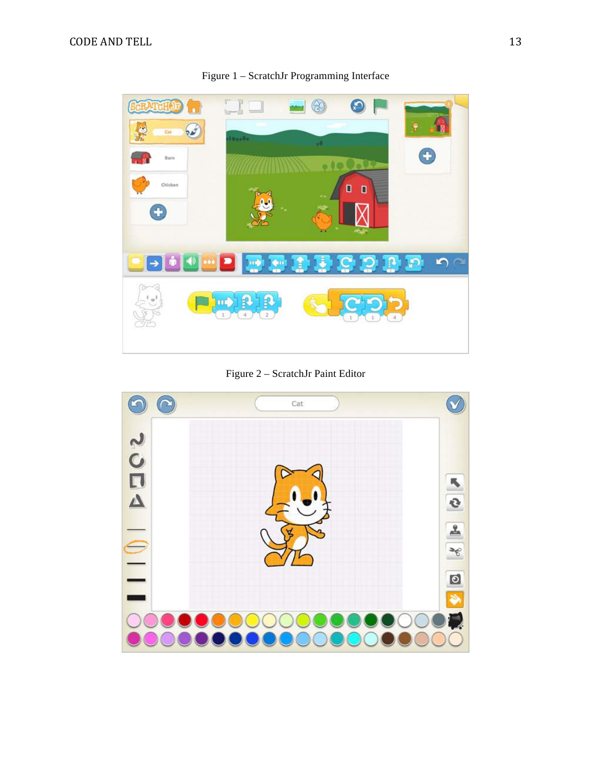

Figure 1 – ScratchJr Programming Interface

Figure 2 – ScratchJr Paint Editor

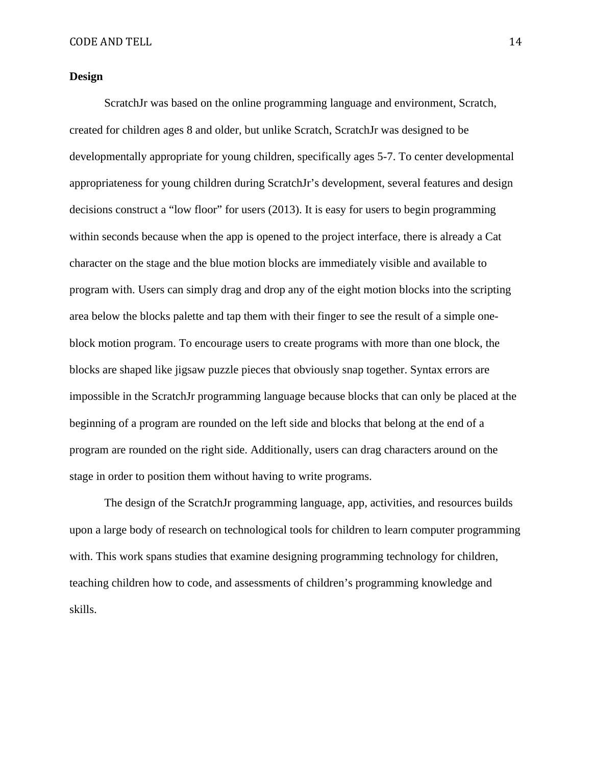#### **Design**

ScratchJr was based on the online programming language and environment, Scratch, created for children ages 8 and older, but unlike Scratch, ScratchJr was designed to be developmentally appropriate for young children, specifically ages 5-7. To center developmental appropriateness for young children during ScratchJr's development, several features and design decisions construct a "low floor" for users (2013). It is easy for users to begin programming within seconds because when the app is opened to the project interface, there is already a Cat character on the stage and the blue motion blocks are immediately visible and available to program with. Users can simply drag and drop any of the eight motion blocks into the scripting area below the blocks palette and tap them with their finger to see the result of a simple oneblock motion program. To encourage users to create programs with more than one block, the blocks are shaped like jigsaw puzzle pieces that obviously snap together. Syntax errors are impossible in the ScratchJr programming language because blocks that can only be placed at the beginning of a program are rounded on the left side and blocks that belong at the end of a program are rounded on the right side. Additionally, users can drag characters around on the stage in order to position them without having to write programs.

The design of the ScratchJr programming language, app, activities, and resources builds upon a large body of research on technological tools for children to learn computer programming with. This work spans studies that examine designing programming technology for children, teaching children how to code, and assessments of children's programming knowledge and skills.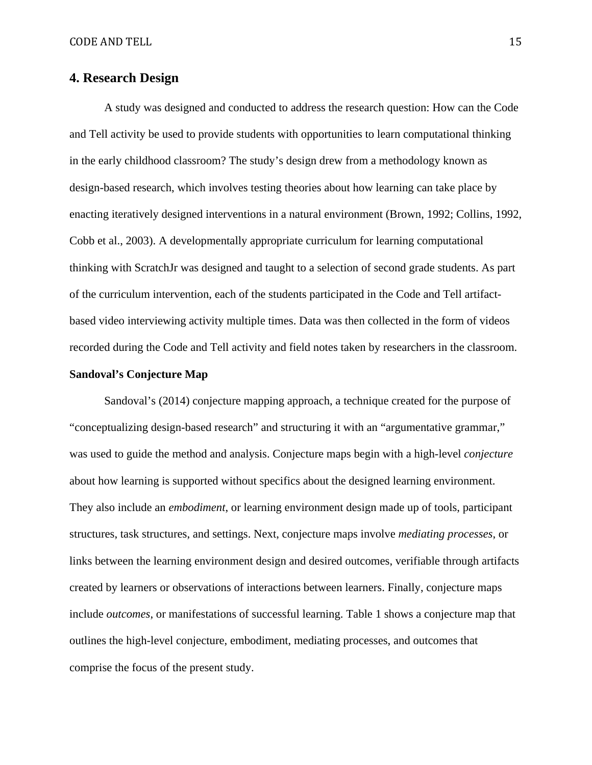# **4. Research Design**

A study was designed and conducted to address the research question: How can the Code and Tell activity be used to provide students with opportunities to learn computational thinking in the early childhood classroom? The study's design drew from a methodology known as design-based research, which involves testing theories about how learning can take place by enacting iteratively designed interventions in a natural environment (Brown, 1992; Collins, 1992, Cobb et al., 2003). A developmentally appropriate curriculum for learning computational thinking with ScratchJr was designed and taught to a selection of second grade students. As part of the curriculum intervention, each of the students participated in the Code and Tell artifactbased video interviewing activity multiple times. Data was then collected in the form of videos recorded during the Code and Tell activity and field notes taken by researchers in the classroom.

# **Sandoval's Conjecture Map**

Sandoval's (2014) conjecture mapping approach, a technique created for the purpose of "conceptualizing design-based research" and structuring it with an "argumentative grammar," was used to guide the method and analysis. Conjecture maps begin with a high-level *conjecture*  about how learning is supported without specifics about the designed learning environment. They also include an *embodiment*, or learning environment design made up of tools, participant structures, task structures, and settings. Next, conjecture maps involve *mediating processes*, or links between the learning environment design and desired outcomes, verifiable through artifacts created by learners or observations of interactions between learners. Finally, conjecture maps include *outcomes*, or manifestations of successful learning. Table 1 shows a conjecture map that outlines the high-level conjecture, embodiment, mediating processes, and outcomes that comprise the focus of the present study.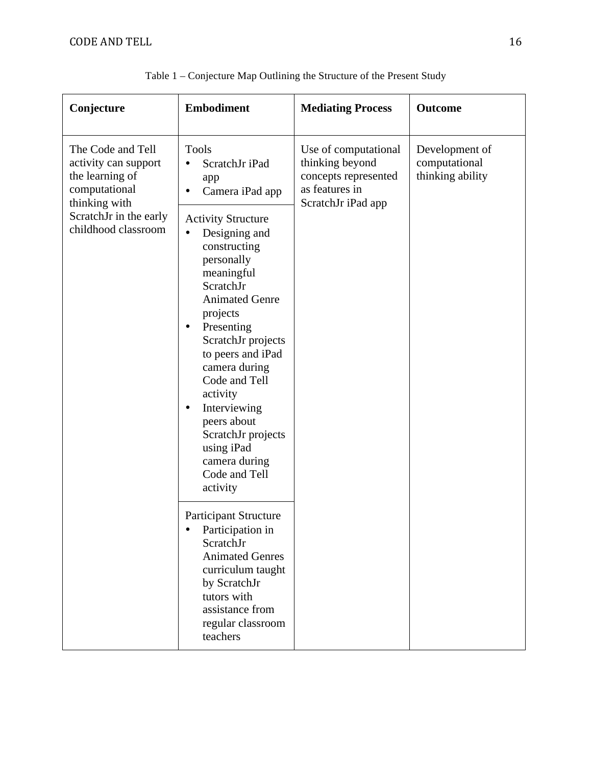| Conjecture                                                                                                                                      | <b>Embodiment</b>                                                                                                                                                                                                                                                                                                                                                                                                                                                                                                                                                                                                                                      | <b>Mediating Process</b>                                                                                | <b>Outcome</b>                                      |
|-------------------------------------------------------------------------------------------------------------------------------------------------|--------------------------------------------------------------------------------------------------------------------------------------------------------------------------------------------------------------------------------------------------------------------------------------------------------------------------------------------------------------------------------------------------------------------------------------------------------------------------------------------------------------------------------------------------------------------------------------------------------------------------------------------------------|---------------------------------------------------------------------------------------------------------|-----------------------------------------------------|
| The Code and Tell<br>activity can support<br>the learning of<br>computational<br>thinking with<br>ScratchJr in the early<br>childhood classroom | <b>Tools</b><br>ScratchJr iPad<br>app<br>Camera iPad app<br>$\bullet$<br><b>Activity Structure</b><br>Designing and<br>constructing<br>personally<br>meaningful<br>ScratchJr<br><b>Animated Genre</b><br>projects<br>Presenting<br>٠<br>ScratchJr projects<br>to peers and iPad<br>camera during<br>Code and Tell<br>activity<br>Interviewing<br>٠<br>peers about<br>ScratchJr projects<br>using iPad<br>camera during<br>Code and Tell<br>activity<br><b>Participant Structure</b><br>Participation in<br>ScratchJr<br><b>Animated Genres</b><br>curriculum taught<br>by ScratchJr<br>tutors with<br>assistance from<br>regular classroom<br>teachers | Use of computational<br>thinking beyond<br>concepts represented<br>as features in<br>ScratchJr iPad app | Development of<br>computational<br>thinking ability |

Table 1 – Conjecture Map Outlining the Structure of the Present Study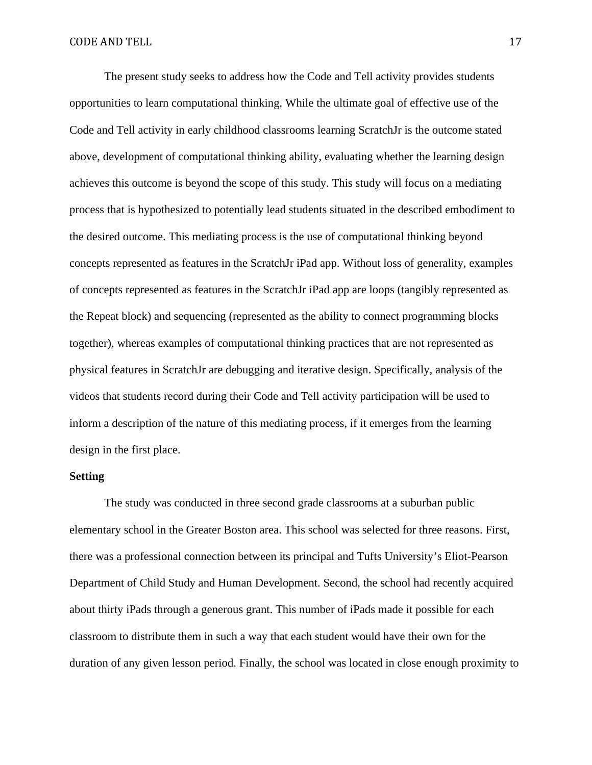The present study seeks to address how the Code and Tell activity provides students opportunities to learn computational thinking. While the ultimate goal of effective use of the Code and Tell activity in early childhood classrooms learning ScratchJr is the outcome stated above, development of computational thinking ability, evaluating whether the learning design achieves this outcome is beyond the scope of this study. This study will focus on a mediating process that is hypothesized to potentially lead students situated in the described embodiment to the desired outcome. This mediating process is the use of computational thinking beyond concepts represented as features in the ScratchJr iPad app. Without loss of generality, examples of concepts represented as features in the ScratchJr iPad app are loops (tangibly represented as the Repeat block) and sequencing (represented as the ability to connect programming blocks together), whereas examples of computational thinking practices that are not represented as physical features in ScratchJr are debugging and iterative design. Specifically, analysis of the videos that students record during their Code and Tell activity participation will be used to inform a description of the nature of this mediating process, if it emerges from the learning design in the first place.

## **Setting**

The study was conducted in three second grade classrooms at a suburban public elementary school in the Greater Boston area. This school was selected for three reasons. First, there was a professional connection between its principal and Tufts University's Eliot-Pearson Department of Child Study and Human Development. Second, the school had recently acquired about thirty iPads through a generous grant. This number of iPads made it possible for each classroom to distribute them in such a way that each student would have their own for the duration of any given lesson period. Finally, the school was located in close enough proximity to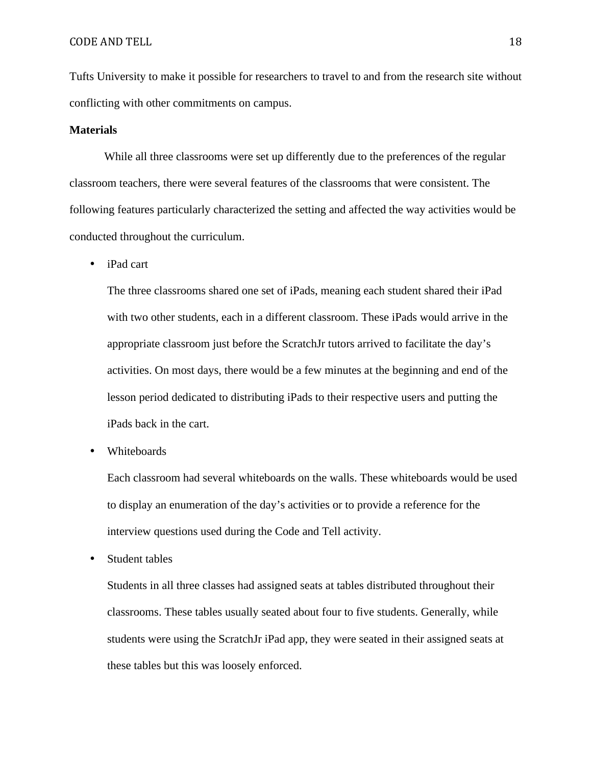Tufts University to make it possible for researchers to travel to and from the research site without conflicting with other commitments on campus.

#### **Materials**

While all three classrooms were set up differently due to the preferences of the regular classroom teachers, there were several features of the classrooms that were consistent. The following features particularly characterized the setting and affected the way activities would be conducted throughout the curriculum.

• iPad cart

The three classrooms shared one set of iPads, meaning each student shared their iPad with two other students, each in a different classroom. These iPads would arrive in the appropriate classroom just before the ScratchJr tutors arrived to facilitate the day's activities. On most days, there would be a few minutes at the beginning and end of the lesson period dedicated to distributing iPads to their respective users and putting the iPads back in the cart.

• Whiteboards

Each classroom had several whiteboards on the walls. These whiteboards would be used to display an enumeration of the day's activities or to provide a reference for the interview questions used during the Code and Tell activity.

• Student tables

Students in all three classes had assigned seats at tables distributed throughout their classrooms. These tables usually seated about four to five students. Generally, while students were using the ScratchJr iPad app, they were seated in their assigned seats at these tables but this was loosely enforced.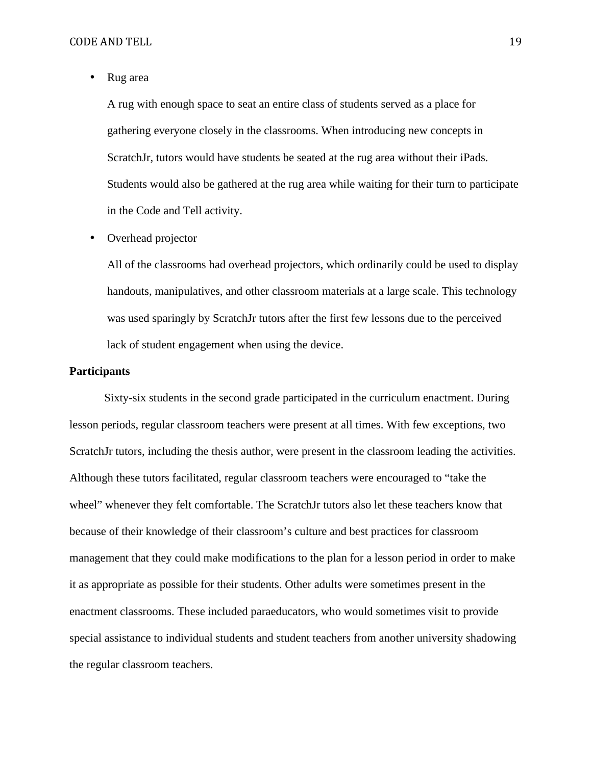• Rug area

A rug with enough space to seat an entire class of students served as a place for gathering everyone closely in the classrooms. When introducing new concepts in ScratchJr, tutors would have students be seated at the rug area without their iPads. Students would also be gathered at the rug area while waiting for their turn to participate in the Code and Tell activity.

• Overhead projector

All of the classrooms had overhead projectors, which ordinarily could be used to display handouts, manipulatives, and other classroom materials at a large scale. This technology was used sparingly by ScratchJr tutors after the first few lessons due to the perceived lack of student engagement when using the device.

#### **Participants**

Sixty-six students in the second grade participated in the curriculum enactment. During lesson periods, regular classroom teachers were present at all times. With few exceptions, two ScratchJr tutors, including the thesis author, were present in the classroom leading the activities. Although these tutors facilitated, regular classroom teachers were encouraged to "take the wheel" whenever they felt comfortable. The ScratchJr tutors also let these teachers know that because of their knowledge of their classroom's culture and best practices for classroom management that they could make modifications to the plan for a lesson period in order to make it as appropriate as possible for their students. Other adults were sometimes present in the enactment classrooms. These included paraeducators, who would sometimes visit to provide special assistance to individual students and student teachers from another university shadowing the regular classroom teachers.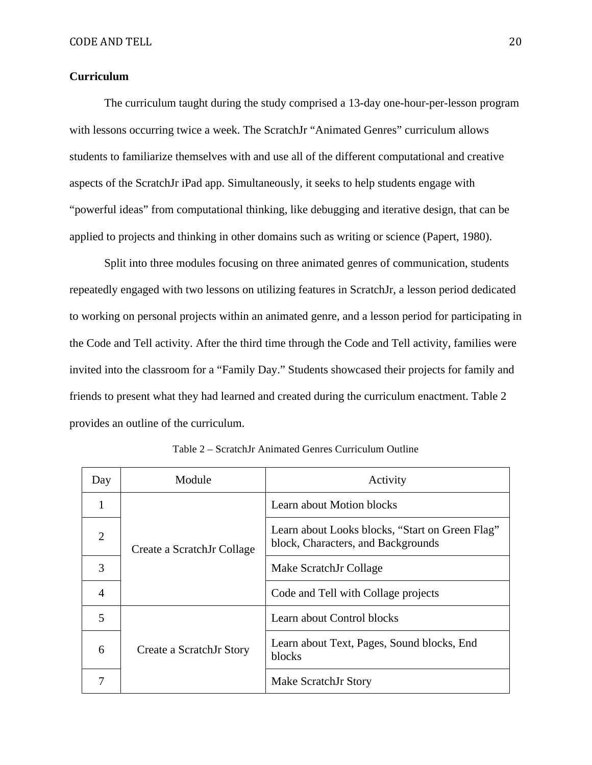# **Curriculum**

The curriculum taught during the study comprised a 13-day one-hour-per-lesson program with lessons occurring twice a week. The ScratchJr "Animated Genres" curriculum allows students to familiarize themselves with and use all of the different computational and creative aspects of the ScratchJr iPad app. Simultaneously, it seeks to help students engage with "powerful ideas" from computational thinking, like debugging and iterative design, that can be applied to projects and thinking in other domains such as writing or science (Papert, 1980).

Split into three modules focusing on three animated genres of communication, students repeatedly engaged with two lessons on utilizing features in ScratchJr, a lesson period dedicated to working on personal projects within an animated genre, and a lesson period for participating in the Code and Tell activity. After the third time through the Code and Tell activity, families were invited into the classroom for a "Family Day." Students showcased their projects for family and friends to present what they had learned and created during the curriculum enactment. Table 2 provides an outline of the curriculum.

| Day            | Module                     | Activity                                                                              |
|----------------|----------------------------|---------------------------------------------------------------------------------------|
| 1              |                            | Learn about Motion blocks                                                             |
| $\overline{2}$ | Create a ScratchJr Collage | Learn about Looks blocks, "Start on Green Flag"<br>block, Characters, and Backgrounds |
| 3              |                            | Make ScratchJr Collage                                                                |
| $\overline{4}$ |                            | Code and Tell with Collage projects                                                   |
| 5              |                            | Learn about Control blocks                                                            |
| 6              | Create a ScratchJr Story   | Learn about Text, Pages, Sound blocks, End<br>blocks                                  |
|                |                            | Make ScratchJr Story                                                                  |

Table 2 – ScratchJr Animated Genres Curriculum Outline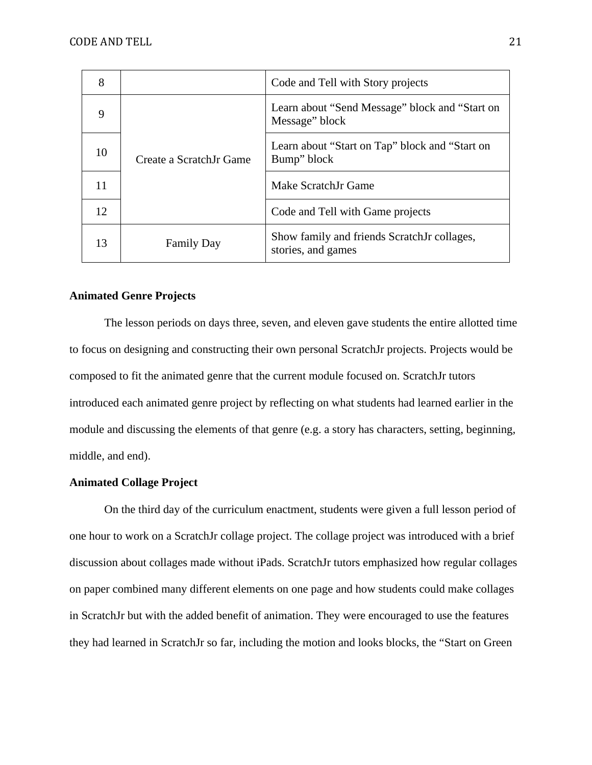| 8  |                         | Code and Tell with Story projects                                 |
|----|-------------------------|-------------------------------------------------------------------|
| 9  | Create a ScratchJr Game | Learn about "Send Message" block and "Start on<br>Message" block  |
| 10 |                         | Learn about "Start on Tap" block and "Start on<br>Bump" block     |
| 11 |                         | Make ScratchJr Game                                               |
| 12 |                         | Code and Tell with Game projects                                  |
| 13 | <b>Family Day</b>       | Show family and friends ScratchJr collages,<br>stories, and games |

## **Animated Genre Projects**

The lesson periods on days three, seven, and eleven gave students the entire allotted time to focus on designing and constructing their own personal ScratchJr projects. Projects would be composed to fit the animated genre that the current module focused on. ScratchJr tutors introduced each animated genre project by reflecting on what students had learned earlier in the module and discussing the elements of that genre (e.g. a story has characters, setting, beginning, middle, and end).

# **Animated Collage Project**

On the third day of the curriculum enactment, students were given a full lesson period of one hour to work on a ScratchJr collage project. The collage project was introduced with a brief discussion about collages made without iPads. ScratchJr tutors emphasized how regular collages on paper combined many different elements on one page and how students could make collages in ScratchJr but with the added benefit of animation. They were encouraged to use the features they had learned in ScratchJr so far, including the motion and looks blocks, the "Start on Green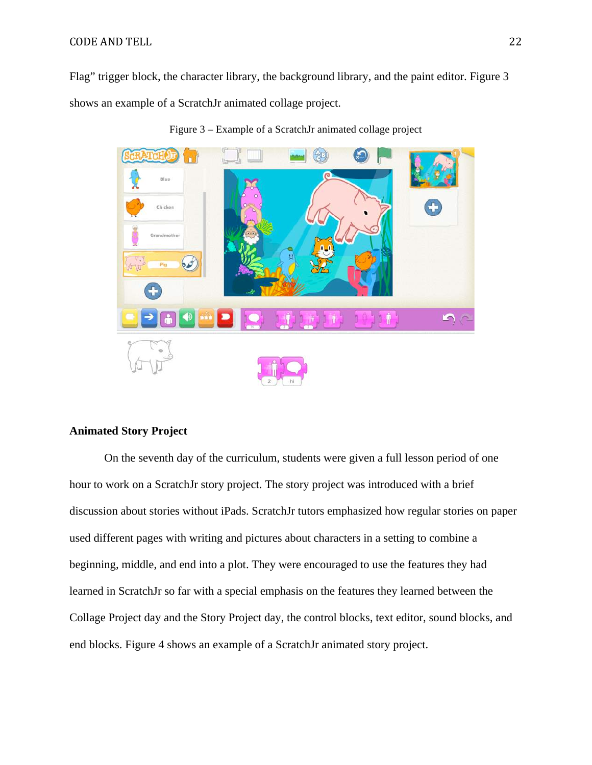#### CODE AND TELL 22

Flag" trigger block, the character library, the background library, and the paint editor. Figure 3 shows an example of a ScratchJr animated collage project.



Figure 3 – Example of a ScratchJr animated collage project

# **Animated Story Project**

On the seventh day of the curriculum, students were given a full lesson period of one hour to work on a ScratchJr story project. The story project was introduced with a brief discussion about stories without iPads. ScratchJr tutors emphasized how regular stories on paper used different pages with writing and pictures about characters in a setting to combine a beginning, middle, and end into a plot. They were encouraged to use the features they had learned in ScratchJr so far with a special emphasis on the features they learned between the Collage Project day and the Story Project day, the control blocks, text editor, sound blocks, and end blocks. Figure 4 shows an example of a ScratchJr animated story project.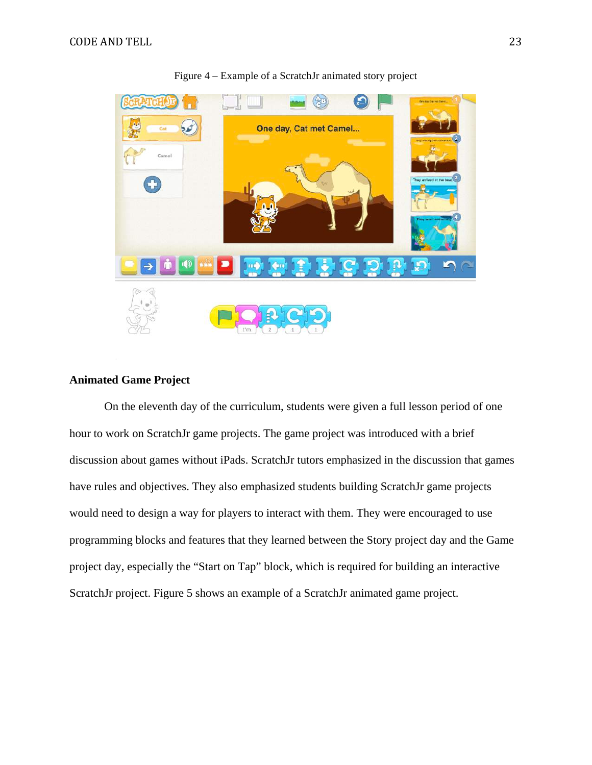

Figure 4 – Example of a ScratchJr animated story project

# **Animated Game Project**

On the eleventh day of the curriculum, students were given a full lesson period of one hour to work on ScratchJr game projects. The game project was introduced with a brief discussion about games without iPads. ScratchJr tutors emphasized in the discussion that games have rules and objectives. They also emphasized students building ScratchJr game projects would need to design a way for players to interact with them. They were encouraged to use programming blocks and features that they learned between the Story project day and the Game project day, especially the "Start on Tap" block, which is required for building an interactive ScratchJr project. Figure 5 shows an example of a ScratchJr animated game project.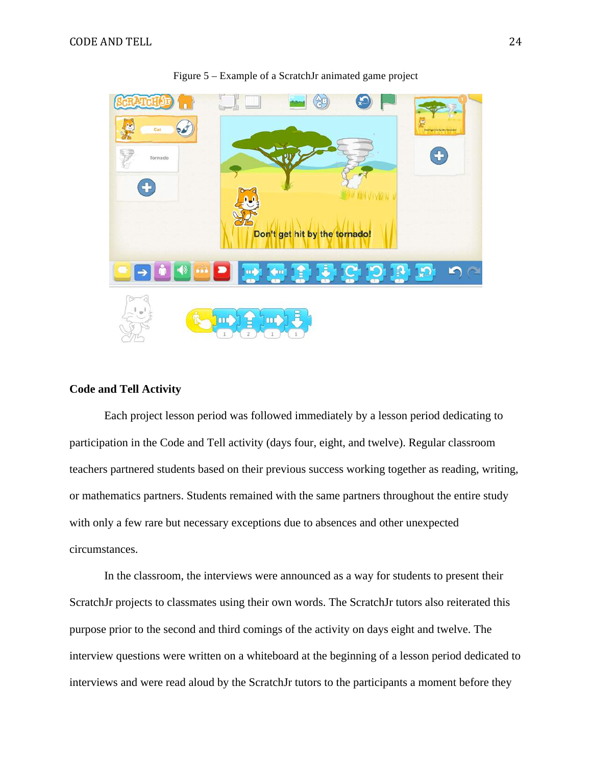

#### Figure 5 – Example of a ScratchJr animated game project

# **Code and Tell Activity**

Each project lesson period was followed immediately by a lesson period dedicating to participation in the Code and Tell activity (days four, eight, and twelve). Regular classroom teachers partnered students based on their previous success working together as reading, writing, or mathematics partners. Students remained with the same partners throughout the entire study with only a few rare but necessary exceptions due to absences and other unexpected circumstances.

In the classroom, the interviews were announced as a way for students to present their ScratchJr projects to classmates using their own words. The ScratchJr tutors also reiterated this purpose prior to the second and third comings of the activity on days eight and twelve. The interview questions were written on a whiteboard at the beginning of a lesson period dedicated to interviews and were read aloud by the ScratchJr tutors to the participants a moment before they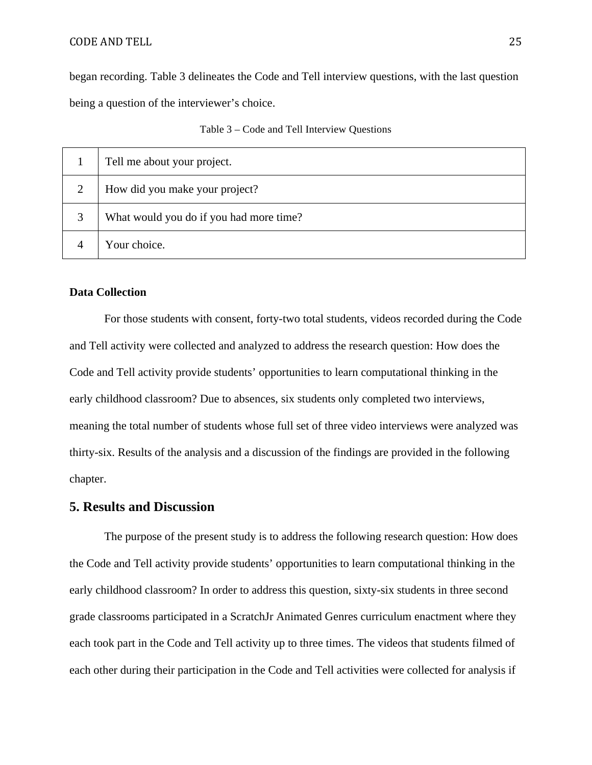#### CODE AND TELL 25

began recording. Table 3 delineates the Code and Tell interview questions, with the last question being a question of the interviewer's choice.

|  |  |  | Table 3 – Code and Tell Interview Questions |  |
|--|--|--|---------------------------------------------|--|
|--|--|--|---------------------------------------------|--|

|   | Tell me about your project.             |
|---|-----------------------------------------|
| 2 | How did you make your project?          |
| 3 | What would you do if you had more time? |
|   | Your choice.                            |

## **Data Collection**

For those students with consent, forty-two total students, videos recorded during the Code and Tell activity were collected and analyzed to address the research question: How does the Code and Tell activity provide students' opportunities to learn computational thinking in the early childhood classroom? Due to absences, six students only completed two interviews, meaning the total number of students whose full set of three video interviews were analyzed was thirty-six. Results of the analysis and a discussion of the findings are provided in the following chapter.

# **5. Results and Discussion**

The purpose of the present study is to address the following research question: How does the Code and Tell activity provide students' opportunities to learn computational thinking in the early childhood classroom? In order to address this question, sixty-six students in three second grade classrooms participated in a ScratchJr Animated Genres curriculum enactment where they each took part in the Code and Tell activity up to three times. The videos that students filmed of each other during their participation in the Code and Tell activities were collected for analysis if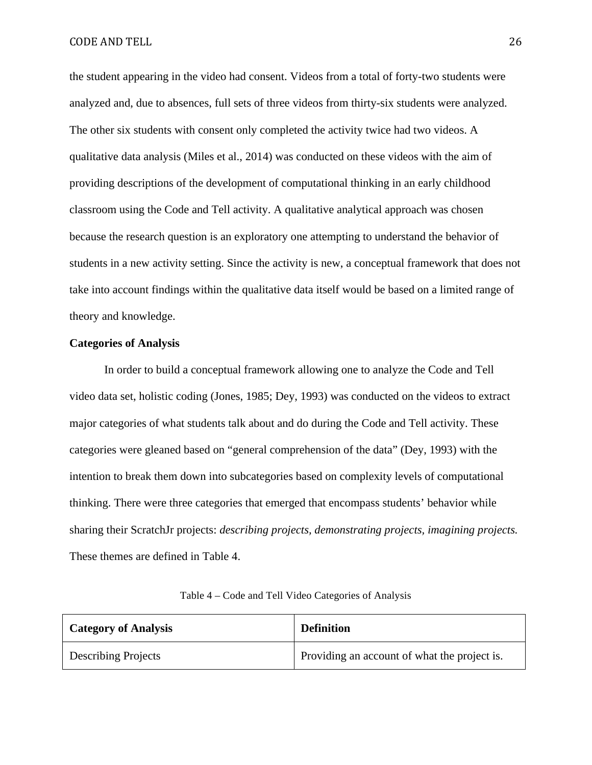the student appearing in the video had consent. Videos from a total of forty-two students were analyzed and, due to absences, full sets of three videos from thirty-six students were analyzed. The other six students with consent only completed the activity twice had two videos. A qualitative data analysis (Miles et al., 2014) was conducted on these videos with the aim of providing descriptions of the development of computational thinking in an early childhood classroom using the Code and Tell activity. A qualitative analytical approach was chosen because the research question is an exploratory one attempting to understand the behavior of students in a new activity setting. Since the activity is new, a conceptual framework that does not take into account findings within the qualitative data itself would be based on a limited range of theory and knowledge.

#### **Categories of Analysis**

In order to build a conceptual framework allowing one to analyze the Code and Tell video data set, holistic coding (Jones, 1985; Dey, 1993) was conducted on the videos to extract major categories of what students talk about and do during the Code and Tell activity. These categories were gleaned based on "general comprehension of the data" (Dey, 1993) with the intention to break them down into subcategories based on complexity levels of computational thinking. There were three categories that emerged that encompass students' behavior while sharing their ScratchJr projects: *describing projects, demonstrating projects, imagining projects.*  These themes are defined in Table 4.

| <b>Category of Analysis</b> | <b>Definition</b>                            |
|-----------------------------|----------------------------------------------|
| <b>Describing Projects</b>  | Providing an account of what the project is. |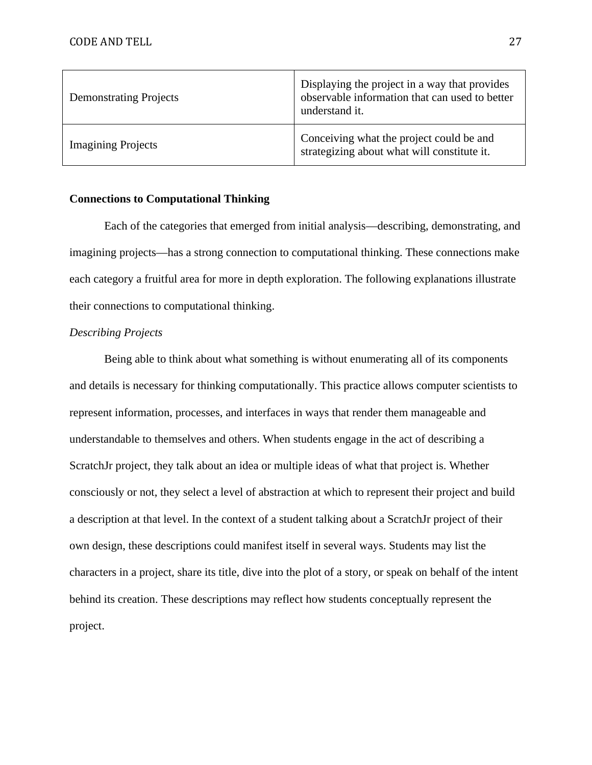| <b>Demonstrating Projects</b> | Displaying the project in a way that provides<br>observable information that can used to better<br>understand it. |
|-------------------------------|-------------------------------------------------------------------------------------------------------------------|
| <b>Imagining Projects</b>     | Conceiving what the project could be and<br>strategizing about what will constitute it.                           |

## **Connections to Computational Thinking**

Each of the categories that emerged from initial analysis—describing, demonstrating, and imagining projects—has a strong connection to computational thinking. These connections make each category a fruitful area for more in depth exploration. The following explanations illustrate their connections to computational thinking.

## *Describing Projects*

Being able to think about what something is without enumerating all of its components and details is necessary for thinking computationally. This practice allows computer scientists to represent information, processes, and interfaces in ways that render them manageable and understandable to themselves and others. When students engage in the act of describing a ScratchJr project, they talk about an idea or multiple ideas of what that project is. Whether consciously or not, they select a level of abstraction at which to represent their project and build a description at that level. In the context of a student talking about a ScratchJr project of their own design, these descriptions could manifest itself in several ways. Students may list the characters in a project, share its title, dive into the plot of a story, or speak on behalf of the intent behind its creation. These descriptions may reflect how students conceptually represent the project.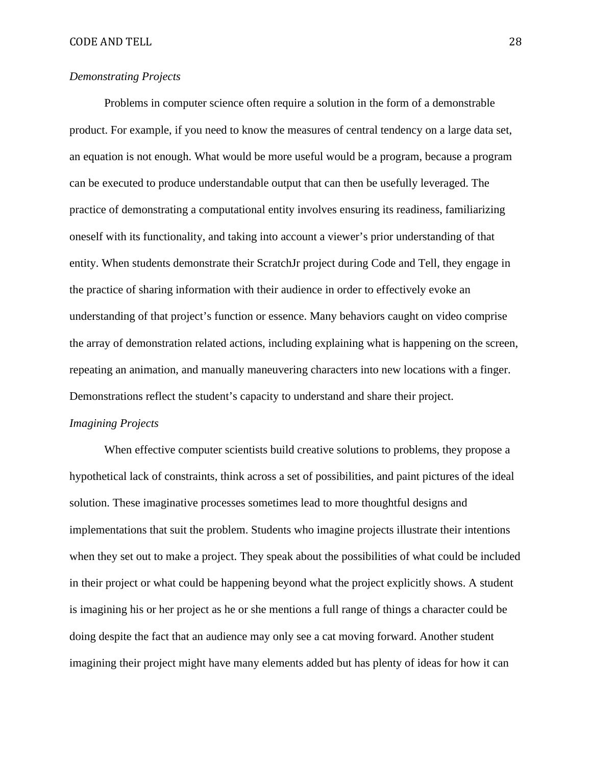# *Demonstrating Projects*

Problems in computer science often require a solution in the form of a demonstrable product. For example, if you need to know the measures of central tendency on a large data set, an equation is not enough. What would be more useful would be a program, because a program can be executed to produce understandable output that can then be usefully leveraged. The practice of demonstrating a computational entity involves ensuring its readiness, familiarizing oneself with its functionality, and taking into account a viewer's prior understanding of that entity. When students demonstrate their ScratchJr project during Code and Tell, they engage in the practice of sharing information with their audience in order to effectively evoke an understanding of that project's function or essence. Many behaviors caught on video comprise the array of demonstration related actions, including explaining what is happening on the screen, repeating an animation, and manually maneuvering characters into new locations with a finger. Demonstrations reflect the student's capacity to understand and share their project.

# *Imagining Projects*

When effective computer scientists build creative solutions to problems, they propose a hypothetical lack of constraints, think across a set of possibilities, and paint pictures of the ideal solution. These imaginative processes sometimes lead to more thoughtful designs and implementations that suit the problem. Students who imagine projects illustrate their intentions when they set out to make a project. They speak about the possibilities of what could be included in their project or what could be happening beyond what the project explicitly shows. A student is imagining his or her project as he or she mentions a full range of things a character could be doing despite the fact that an audience may only see a cat moving forward. Another student imagining their project might have many elements added but has plenty of ideas for how it can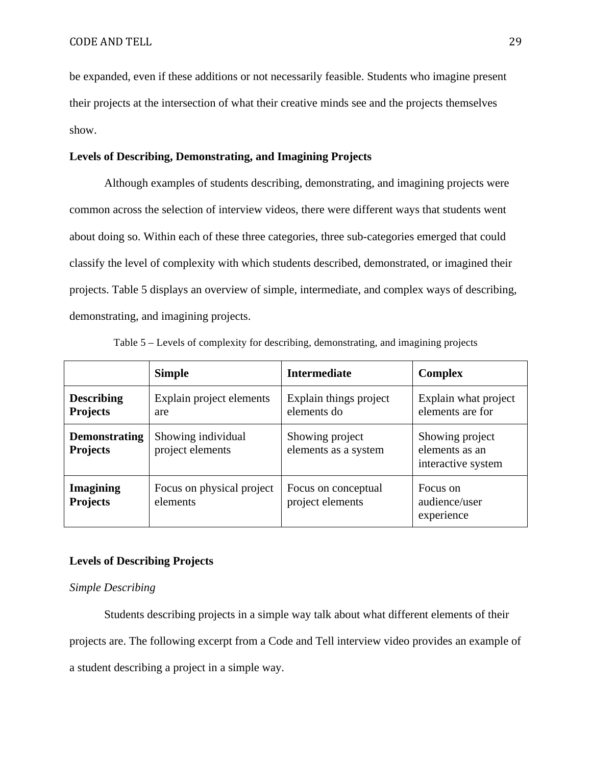be expanded, even if these additions or not necessarily feasible. Students who imagine present their projects at the intersection of what their creative minds see and the projects themselves show.

## **Levels of Describing, Demonstrating, and Imagining Projects**

Although examples of students describing, demonstrating, and imagining projects were common across the selection of interview videos, there were different ways that students went about doing so. Within each of these three categories, three sub-categories emerged that could classify the level of complexity with which students described, demonstrated, or imagined their projects. Table 5 displays an overview of simple, intermediate, and complex ways of describing, demonstrating, and imagining projects.

|                                         | <b>Simple</b>                          | <b>Intermediate</b>                     | <b>Complex</b>                                          |
|-----------------------------------------|----------------------------------------|-----------------------------------------|---------------------------------------------------------|
| <b>Describing</b><br><b>Projects</b>    | Explain project elements<br>are        | Explain things project<br>elements do   | Explain what project<br>elements are for                |
| <b>Demonstrating</b><br><b>Projects</b> | Showing individual<br>project elements | Showing project<br>elements as a system | Showing project<br>elements as an<br>interactive system |
| <b>Imagining</b><br><b>Projects</b>     | Focus on physical project<br>elements  | Focus on conceptual<br>project elements | Focus on<br>audience/user<br>experience                 |

Table 5 – Levels of complexity for describing, demonstrating, and imagining projects

# **Levels of Describing Projects**

### *Simple Describing*

Students describing projects in a simple way talk about what different elements of their projects are. The following excerpt from a Code and Tell interview video provides an example of a student describing a project in a simple way.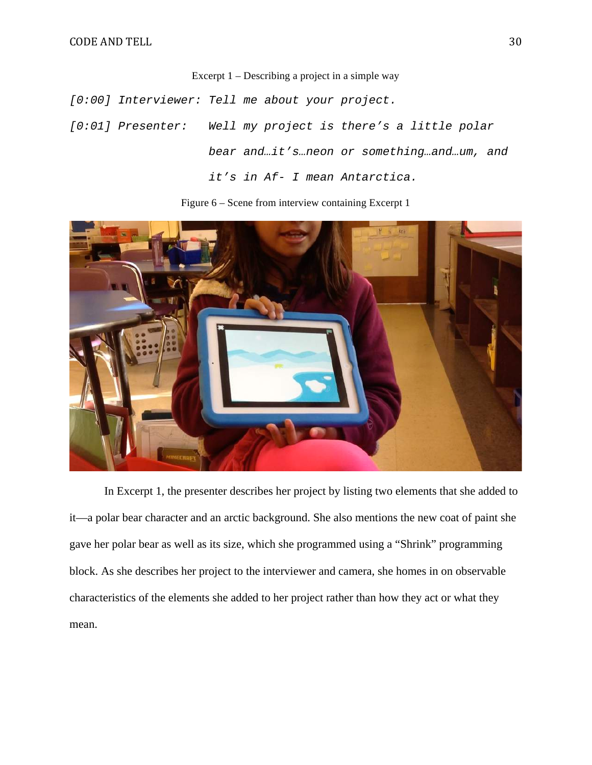Excerpt 1 – Describing a project in a simple way

[0:00] Interviewer: Tell me about your project.

[0:01] Presenter: Well my project is there's a little polar bear and…it's…neon or something…and…um, and it's in Af- I mean Antarctica.

Figure 6 – Scene from interview containing Excerpt 1



In Excerpt 1, the presenter describes her project by listing two elements that she added to it—a polar bear character and an arctic background. She also mentions the new coat of paint she gave her polar bear as well as its size, which she programmed using a "Shrink" programming block. As she describes her project to the interviewer and camera, she homes in on observable characteristics of the elements she added to her project rather than how they act or what they mean.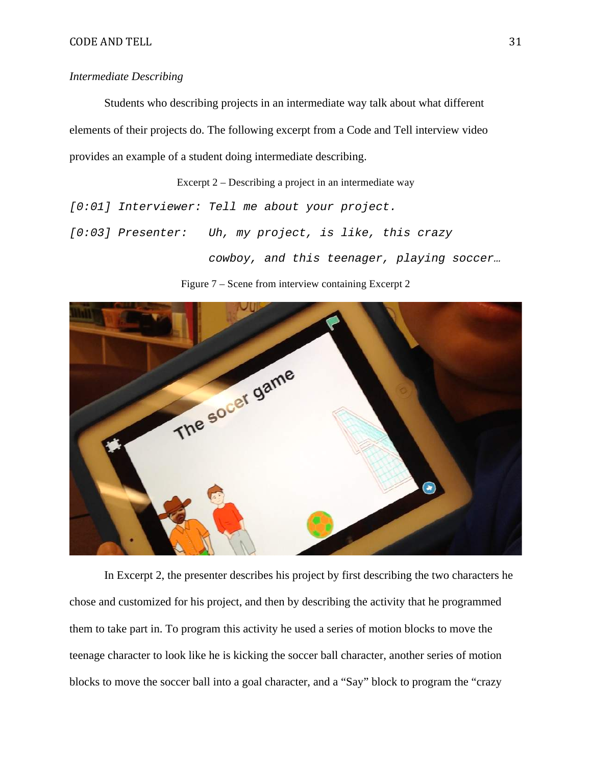## *Intermediate Describing*

Students who describing projects in an intermediate way talk about what different elements of their projects do. The following excerpt from a Code and Tell interview video provides an example of a student doing intermediate describing.

Excerpt 2 – Describing a project in an intermediate way

[0:01] Interviewer: Tell me about your project.

[0:03] Presenter: Uh, my project, is like, this crazy

cowboy, and this teenager, playing soccer…

Figure 7 – Scene from interview containing Excerpt 2



In Excerpt 2, the presenter describes his project by first describing the two characters he chose and customized for his project, and then by describing the activity that he programmed them to take part in. To program this activity he used a series of motion blocks to move the teenage character to look like he is kicking the soccer ball character, another series of motion blocks to move the soccer ball into a goal character, and a "Say" block to program the "crazy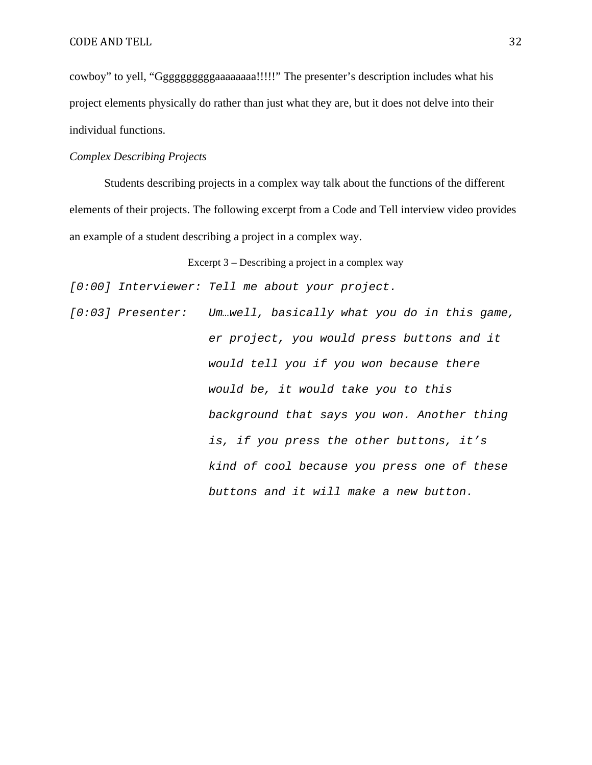cowboy" to yell, "Ggggggggggaaaaaaaa!!!!!" The presenter's description includes what his project elements physically do rather than just what they are, but it does not delve into their individual functions.

## *Complex Describing Projects*

Students describing projects in a complex way talk about the functions of the different elements of their projects. The following excerpt from a Code and Tell interview video provides an example of a student describing a project in a complex way.

Excerpt 3 – Describing a project in a complex way

[0:00] Interviewer: Tell me about your project.

[0:03] Presenter: Um.well, basically what you do in this game, er project, you would press buttons and it would tell you if you won because there would be, it would take you to this background that says you won. Another thing is, if you press the other buttons, it's kind of cool because you press one of these buttons and it will make a new button.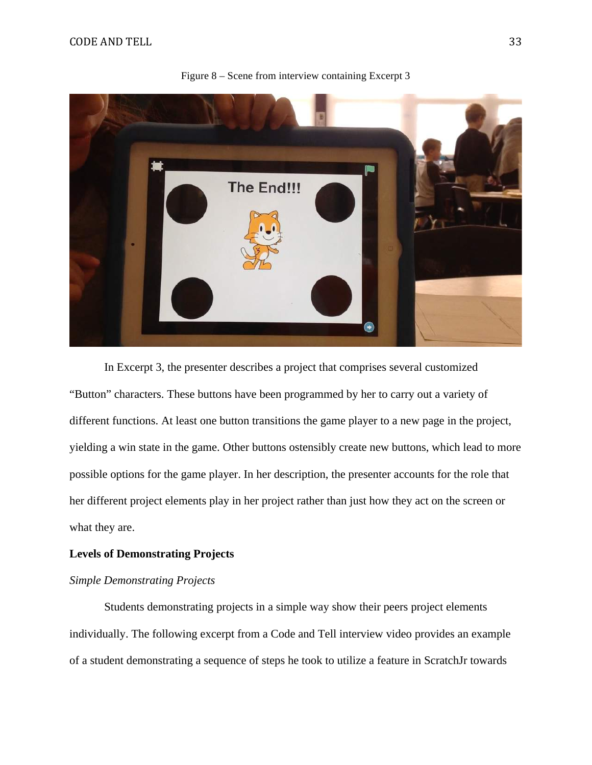

Figure 8 – Scene from interview containing Excerpt 3

In Excerpt 3, the presenter describes a project that comprises several customized "Button" characters. These buttons have been programmed by her to carry out a variety of different functions. At least one button transitions the game player to a new page in the project, yielding a win state in the game. Other buttons ostensibly create new buttons, which lead to more possible options for the game player. In her description, the presenter accounts for the role that her different project elements play in her project rather than just how they act on the screen or what they are.

# **Levels of Demonstrating Projects**

# *Simple Demonstrating Projects*

Students demonstrating projects in a simple way show their peers project elements individually. The following excerpt from a Code and Tell interview video provides an example of a student demonstrating a sequence of steps he took to utilize a feature in ScratchJr towards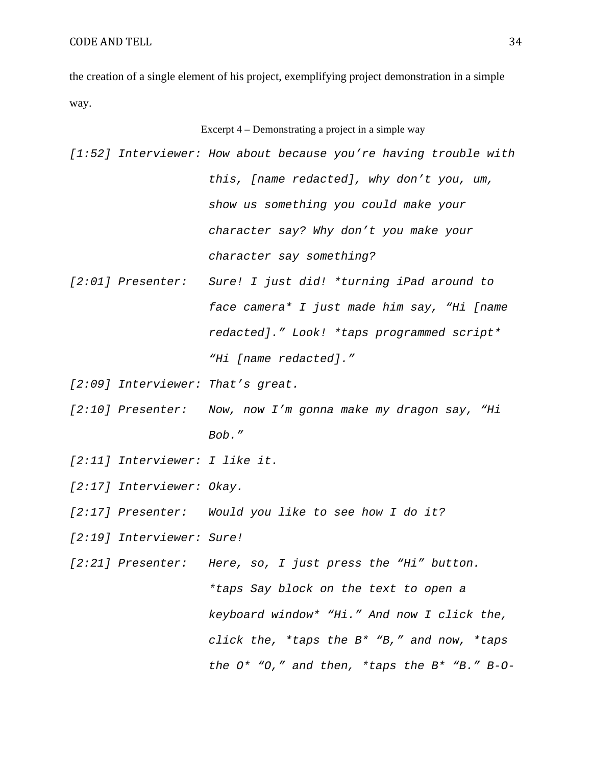the creation of a single element of his project, exemplifying project demonstration in a simple way.

|  |  | Excerpt 4 – Demonstrating a project in a simple way              |
|--|--|------------------------------------------------------------------|
|  |  | [1:52] Interviewer: How about because you're having trouble with |
|  |  | this, [name redacted], why don't you, um,                        |
|  |  | show us something you could make your                            |
|  |  | character say? Why don't you make your                           |
|  |  | character say something?                                         |
|  |  | [2:01] Presenter: Sure! I just did! *turning iPad around to      |
|  |  | face camera* I just made him say, "Hi [name                      |
|  |  | redacted]." Look! *taps programmed script*                       |
|  |  | "Hi [name redacted]."                                            |
|  |  |                                                                  |

- [2:09] Interviewer: That's great.
- [2:10] Presenter: Now, now I'm gonna make my dragon say, "Hi Bob."
- [2:11] Interviewer: I like it.
- [2:17] Interviewer: Okay.
- [2:17] Presenter: Would you like to see how I do it?
- [2:19] Interviewer: Sure!
- [2:21] Presenter: Here, so, I just press the "Hi" button. \*taps Say block on the text to open a keyboard window\* "Hi." And now I click the, click the, \*taps the B\* "B," and now, \*taps the O\* "O," and then, \*taps the B\* "B." B-O-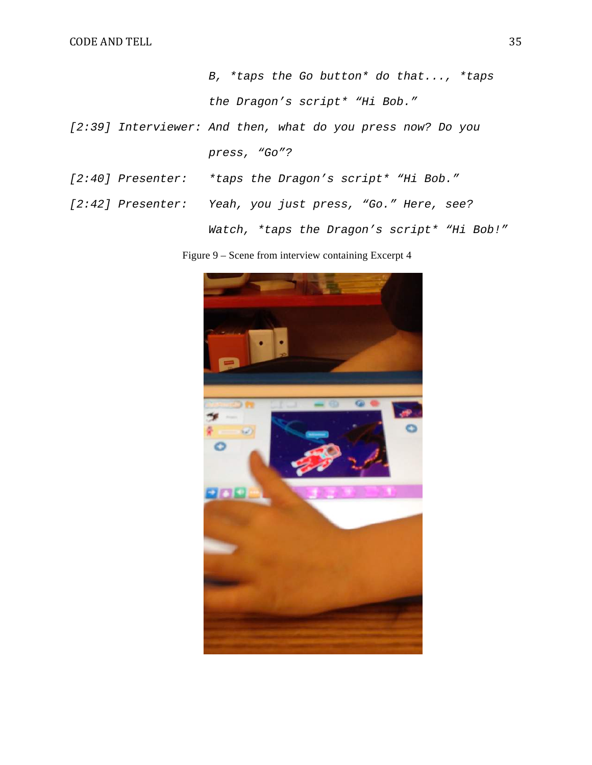B, \*taps the Go button\* do that..., \*taps the Dragon's script\* "Hi Bob."

- [2:39] Interviewer: And then, what do you press now? Do you press, "Go"?
- [2:40] Presenter: \*taps the Dragon's script\* "Hi Bob."
- [2:42] Presenter: Yeah, you just press, "Go." Here, see? Watch, \*taps the Dragon's script\* "Hi Bob!"

Figure 9 – Scene from interview containing Excerpt 4

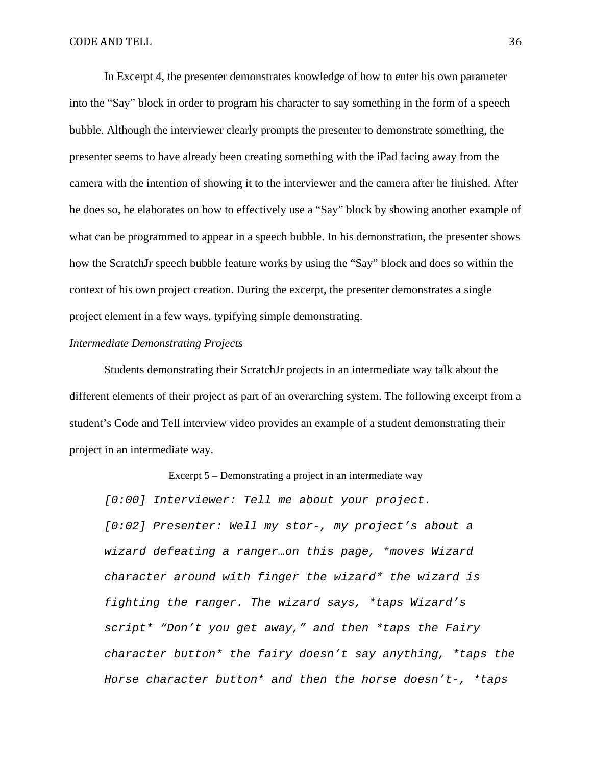In Excerpt 4, the presenter demonstrates knowledge of how to enter his own parameter into the "Say" block in order to program his character to say something in the form of a speech bubble. Although the interviewer clearly prompts the presenter to demonstrate something, the presenter seems to have already been creating something with the iPad facing away from the camera with the intention of showing it to the interviewer and the camera after he finished. After he does so, he elaborates on how to effectively use a "Say" block by showing another example of what can be programmed to appear in a speech bubble. In his demonstration, the presenter shows how the ScratchJr speech bubble feature works by using the "Say" block and does so within the context of his own project creation. During the excerpt, the presenter demonstrates a single project element in a few ways, typifying simple demonstrating.

#### *Intermediate Demonstrating Projects*

Students demonstrating their ScratchJr projects in an intermediate way talk about the different elements of their project as part of an overarching system. The following excerpt from a student's Code and Tell interview video provides an example of a student demonstrating their project in an intermediate way.

Excerpt 5 – Demonstrating a project in an intermediate way

[0:00] Interviewer: Tell me about your project. [0:02] Presenter: Well my stor-, my project's about a wizard defeating a ranger…on this page, \*moves Wizard character around with finger the wizard\* the wizard is fighting the ranger. The wizard says, \*taps Wizard's script\* "Don't you get away," and then \*taps the Fairy character button\* the fairy doesn't say anything, \*taps the Horse character button\* and then the horse doesn't-, \*taps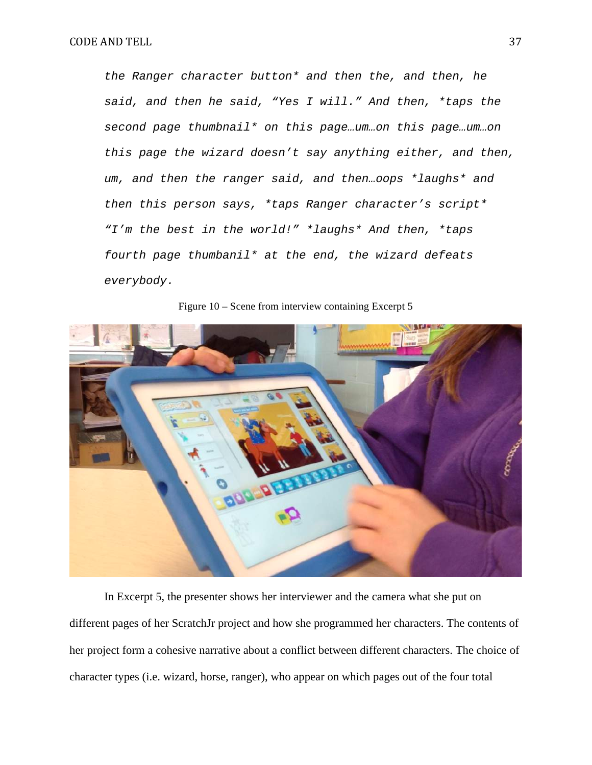the Ranger character button\* and then the, and then, he said, and then he said, "Yes I will." And then, \*taps the second page thumbnail\* on this page…um…on this page…um…on this page the wizard doesn't say anything either, and then, um, and then the ranger said, and then…oops \*laughs\* and then this person says, \*taps Ranger character's script\* "I'm the best in the world!" \*laughs\* And then, \*taps fourth page thumbanil\* at the end, the wizard defeats everybody.

Figure 10 – Scene from interview containing Excerpt 5

In Excerpt 5, the presenter shows her interviewer and the camera what she put on different pages of her ScratchJr project and how she programmed her characters. The contents of her project form a cohesive narrative about a conflict between different characters. The choice of character types (i.e. wizard, horse, ranger), who appear on which pages out of the four total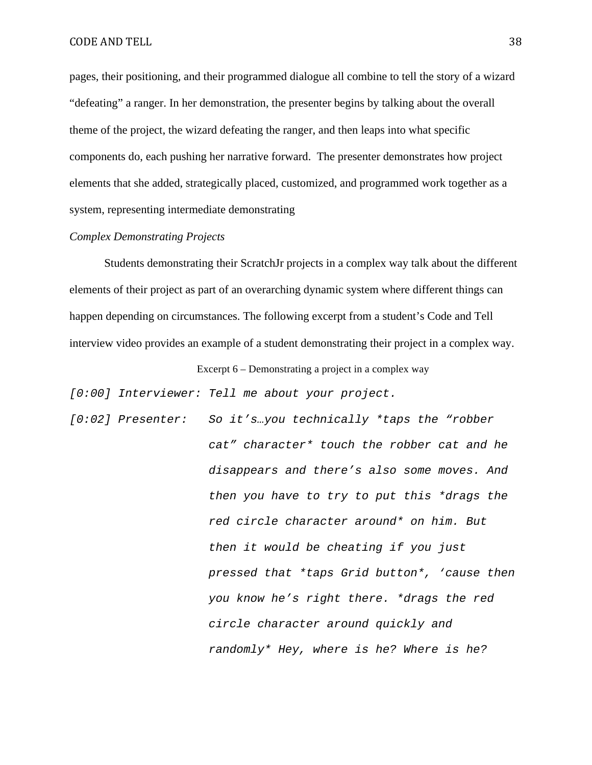pages, their positioning, and their programmed dialogue all combine to tell the story of a wizard "defeating" a ranger. In her demonstration, the presenter begins by talking about the overall theme of the project, the wizard defeating the ranger, and then leaps into what specific components do, each pushing her narrative forward. The presenter demonstrates how project elements that she added, strategically placed, customized, and programmed work together as a system, representing intermediate demonstrating

### *Complex Demonstrating Projects*

Students demonstrating their ScratchJr projects in a complex way talk about the different elements of their project as part of an overarching dynamic system where different things can happen depending on circumstances. The following excerpt from a student's Code and Tell interview video provides an example of a student demonstrating their project in a complex way.

Excerpt 6 – Demonstrating a project in a complex way

[0:00] Interviewer: Tell me about your project.

[0:02] Presenter: So it's...you technically \*taps the "robber cat" character\* touch the robber cat and he disappears and there's also some moves. And then you have to try to put this \*drags the red circle character around\* on him. But then it would be cheating if you just pressed that \*taps Grid button\*, 'cause then you know he's right there. \*drags the red circle character around quickly and randomly\* Hey, where is he? Where is he?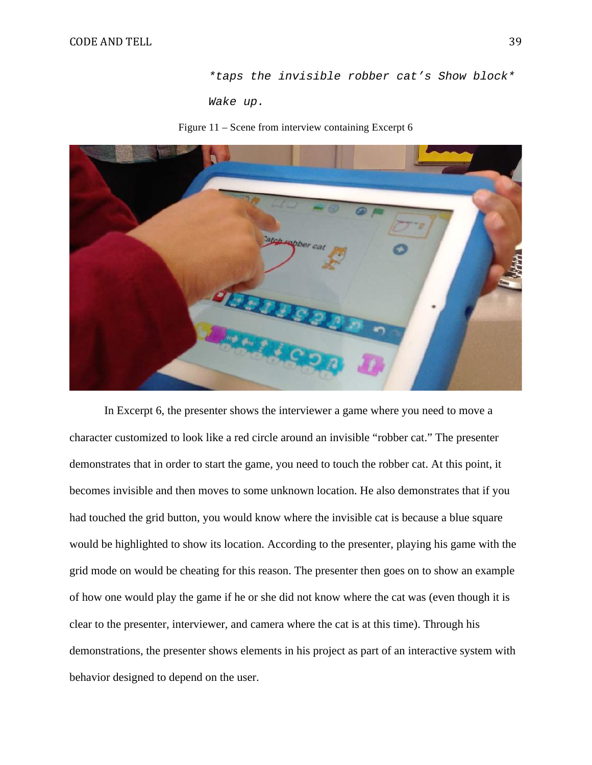\*taps the invisible robber cat's Show block\*

Wake up.

Figure 11 – Scene from interview containing Excerpt 6



In Excerpt 6, the presenter shows the interviewer a game where you need to move a character customized to look like a red circle around an invisible "robber cat." The presenter demonstrates that in order to start the game, you need to touch the robber cat. At this point, it becomes invisible and then moves to some unknown location. He also demonstrates that if you had touched the grid button, you would know where the invisible cat is because a blue square would be highlighted to show its location. According to the presenter, playing his game with the grid mode on would be cheating for this reason. The presenter then goes on to show an example of how one would play the game if he or she did not know where the cat was (even though it is clear to the presenter, interviewer, and camera where the cat is at this time). Through his demonstrations, the presenter shows elements in his project as part of an interactive system with behavior designed to depend on the user.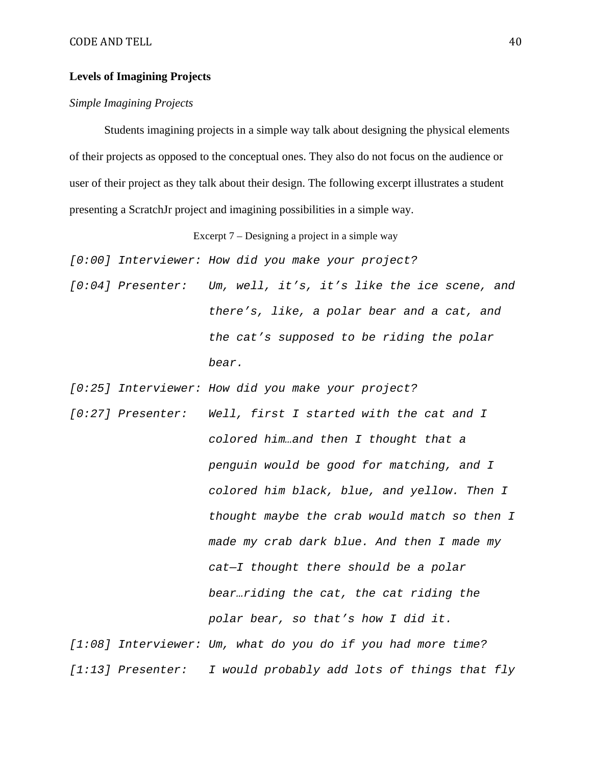## **Levels of Imagining Projects**

## *Simple Imagining Projects*

Students imagining projects in a simple way talk about designing the physical elements of their projects as opposed to the conceptual ones. They also do not focus on the audience or user of their project as they talk about their design. The following excerpt illustrates a student presenting a ScratchJr project and imagining possibilities in a simple way.

Excerpt 7 – Designing a project in a simple way

[0:00] Interviewer: How did you make your project?

[0:04] Presenter: Um, well, it's, it's like the ice scene, and there's, like, a polar bear and a cat, and the cat's supposed to be riding the polar bear.

[0:25] Interviewer: How did you make your project?

[0:27] Presenter: Well, first I started with the cat and I colored him…and then I thought that a penguin would be good for matching, and I colored him black, blue, and yellow. Then I thought maybe the crab would match so then I made my crab dark blue. And then I made my cat—I thought there should be a polar bear…riding the cat, the cat riding the polar bear, so that's how I did it. [1:08] Interviewer: Um, what do you do if you had more time? [1:13] Presenter: I would probably add lots of things that fly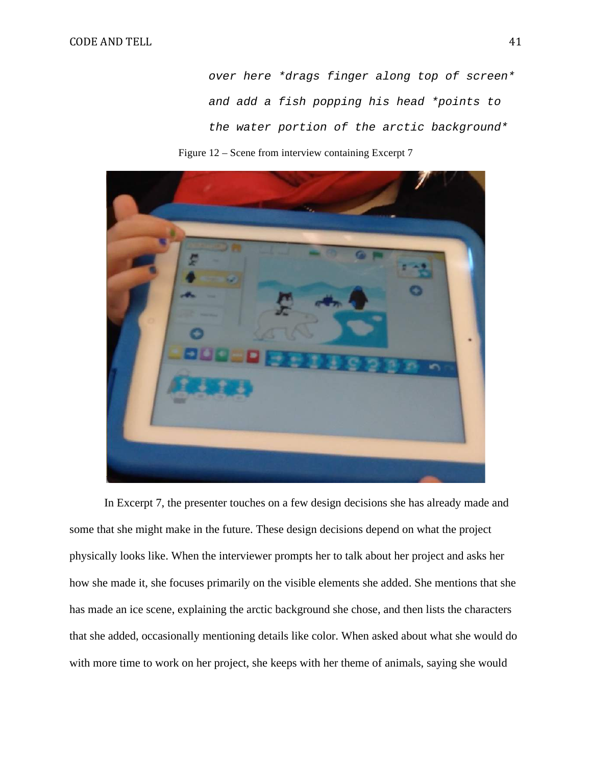over here \*drags finger along top of screen\* and add a fish popping his head \*points to the water portion of the arctic background\*





In Excerpt 7, the presenter touches on a few design decisions she has already made and some that she might make in the future. These design decisions depend on what the project physically looks like. When the interviewer prompts her to talk about her project and asks her how she made it, she focuses primarily on the visible elements she added. She mentions that she has made an ice scene, explaining the arctic background she chose, and then lists the characters that she added, occasionally mentioning details like color. When asked about what she would do with more time to work on her project, she keeps with her theme of animals, saying she would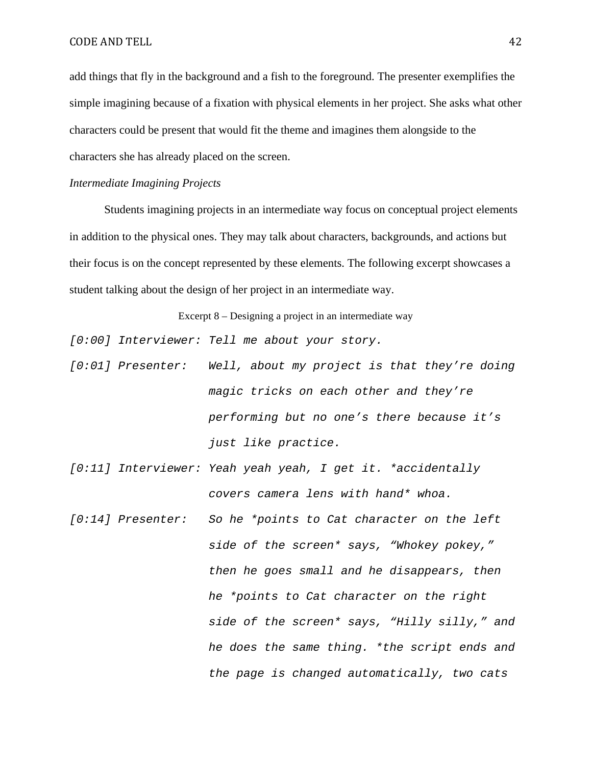### CODE AND TELL 42

add things that fly in the background and a fish to the foreground. The presenter exemplifies the simple imagining because of a fixation with physical elements in her project. She asks what other characters could be present that would fit the theme and imagines them alongside to the characters she has already placed on the screen.

### *Intermediate Imagining Projects*

Students imagining projects in an intermediate way focus on conceptual project elements in addition to the physical ones. They may talk about characters, backgrounds, and actions but their focus is on the concept represented by these elements. The following excerpt showcases a student talking about the design of her project in an intermediate way.

Excerpt 8 – Designing a project in an intermediate way

[0:00] Interviewer: Tell me about your story.

- [0:01] Presenter: Well, about my project is that they're doing magic tricks on each other and they're performing but no one's there because it's just like practice.
- [0:11] Interviewer: Yeah yeah yeah, I get it. \*accidentally covers camera lens with hand\* whoa.
- [0:14] Presenter: So he \*points to Cat character on the left side of the screen\* says, "Whokey pokey," then he goes small and he disappears, then he \*points to Cat character on the right side of the screen\* says, "Hilly silly," and he does the same thing. \*the script ends and the page is changed automatically, two cats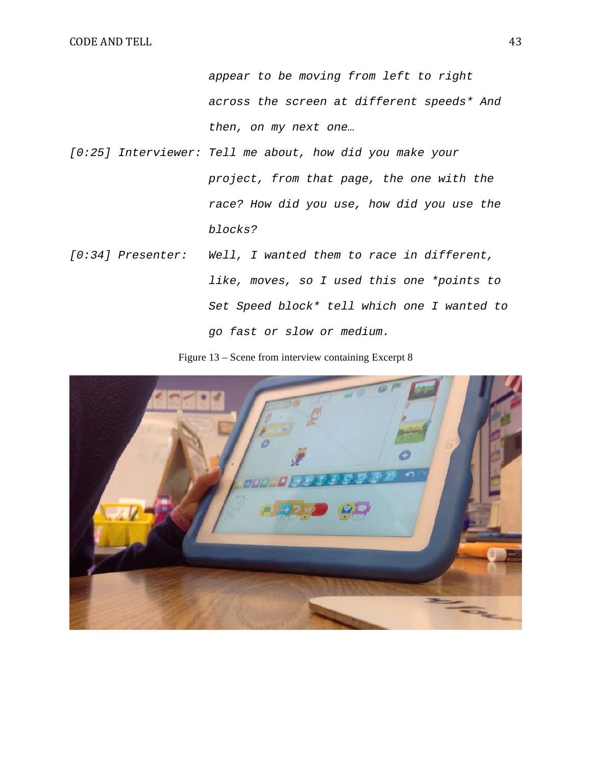appear to be moving from left to right across the screen at different speeds\* And then, on my next one…

- [0:25] Interviewer: Tell me about, how did you make your project, from that page, the one with the race? How did you use, how did you use the blocks?
- [0:34] Presenter: Well, I wanted them to race in different, like, moves, so I used this one \*points to Set Speed block\* tell which one I wanted to go fast or slow or medium.

Figure 13 – Scene from interview containing Excerpt 8

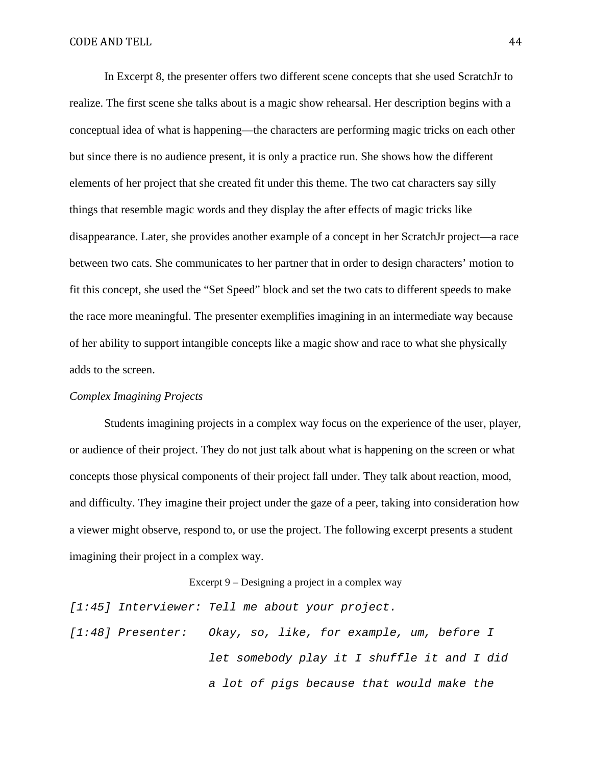In Excerpt 8, the presenter offers two different scene concepts that she used ScratchJr to realize. The first scene she talks about is a magic show rehearsal. Her description begins with a conceptual idea of what is happening—the characters are performing magic tricks on each other but since there is no audience present, it is only a practice run. She shows how the different elements of her project that she created fit under this theme. The two cat characters say silly things that resemble magic words and they display the after effects of magic tricks like disappearance. Later, she provides another example of a concept in her ScratchJr project—a race between two cats. She communicates to her partner that in order to design characters' motion to fit this concept, she used the "Set Speed" block and set the two cats to different speeds to make the race more meaningful. The presenter exemplifies imagining in an intermediate way because of her ability to support intangible concepts like a magic show and race to what she physically adds to the screen.

# *Complex Imagining Projects*

Students imagining projects in a complex way focus on the experience of the user, player, or audience of their project. They do not just talk about what is happening on the screen or what concepts those physical components of their project fall under. They talk about reaction, mood, and difficulty. They imagine their project under the gaze of a peer, taking into consideration how a viewer might observe, respond to, or use the project. The following excerpt presents a student imagining their project in a complex way.

Excerpt 9 – Designing a project in a complex way

[1:45] Interviewer: Tell me about your project. [1:48] Presenter: Okay, so, like, for example, um, before I let somebody play it I shuffle it and I did a lot of pigs because that would make the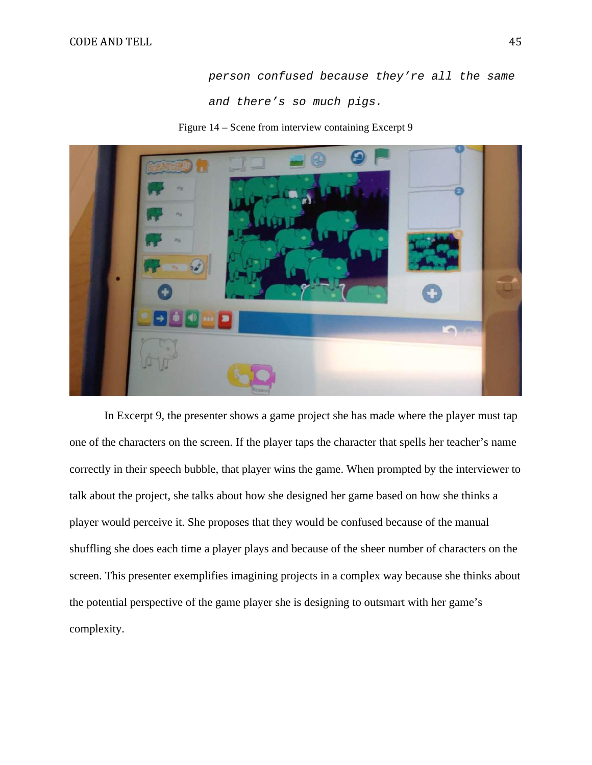person confused because they're all the same and there's so much pigs.

Figure 14 – Scene from interview containing Excerpt 9



In Excerpt 9, the presenter shows a game project she has made where the player must tap one of the characters on the screen. If the player taps the character that spells her teacher's name correctly in their speech bubble, that player wins the game. When prompted by the interviewer to talk about the project, she talks about how she designed her game based on how she thinks a player would perceive it. She proposes that they would be confused because of the manual shuffling she does each time a player plays and because of the sheer number of characters on the screen. This presenter exemplifies imagining projects in a complex way because she thinks about the potential perspective of the game player she is designing to outsmart with her game's complexity.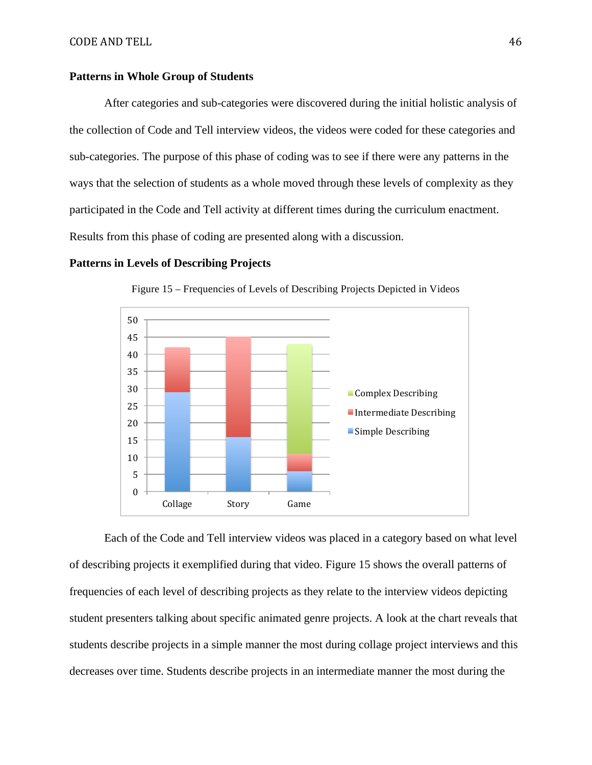### **Patterns in Whole Group of Students**

After categories and sub-categories were discovered during the initial holistic analysis of the collection of Code and Tell interview videos, the videos were coded for these categories and sub-categories. The purpose of this phase of coding was to see if there were any patterns in the ways that the selection of students as a whole moved through these levels of complexity as they participated in the Code and Tell activity at different times during the curriculum enactment. Results from this phase of coding are presented along with a discussion.

#### **Patterns in Levels of Describing Projects**



Figure 15 – Frequencies of Levels of Describing Projects Depicted in Videos

Each of the Code and Tell interview videos was placed in a category based on what level of describing projects it exemplified during that video. Figure 15 shows the overall patterns of frequencies of each level of describing projects as they relate to the interview videos depicting student presenters talking about specific animated genre projects. A look at the chart reveals that students describe projects in a simple manner the most during collage project interviews and this decreases over time. Students describe projects in an intermediate manner the most during the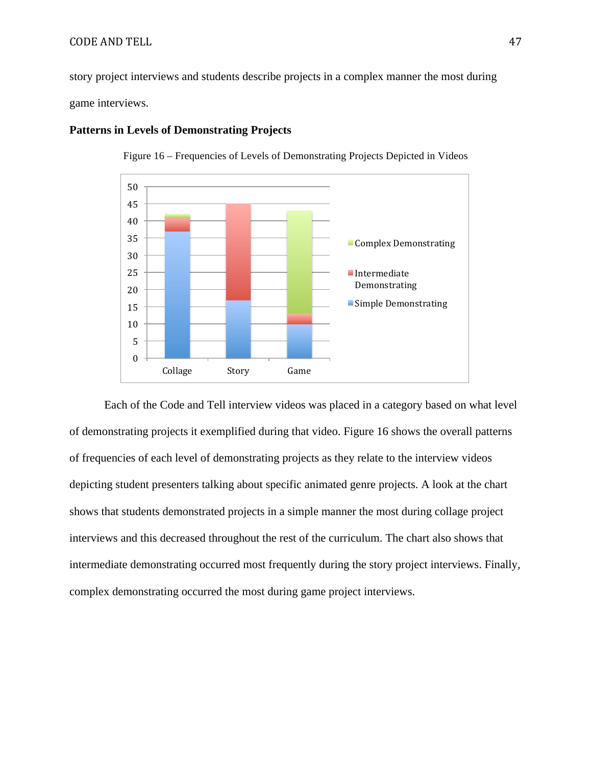### CODE AND TELL 47

story project interviews and students describe projects in a complex manner the most during game interviews.



### **Patterns in Levels of Demonstrating Projects**

Figure 16 – Frequencies of Levels of Demonstrating Projects Depicted in Videos

Each of the Code and Tell interview videos was placed in a category based on what level of demonstrating projects it exemplified during that video. Figure 16 shows the overall patterns of frequencies of each level of demonstrating projects as they relate to the interview videos depicting student presenters talking about specific animated genre projects. A look at the chart shows that students demonstrated projects in a simple manner the most during collage project interviews and this decreased throughout the rest of the curriculum. The chart also shows that intermediate demonstrating occurred most frequently during the story project interviews. Finally, complex demonstrating occurred the most during game project interviews.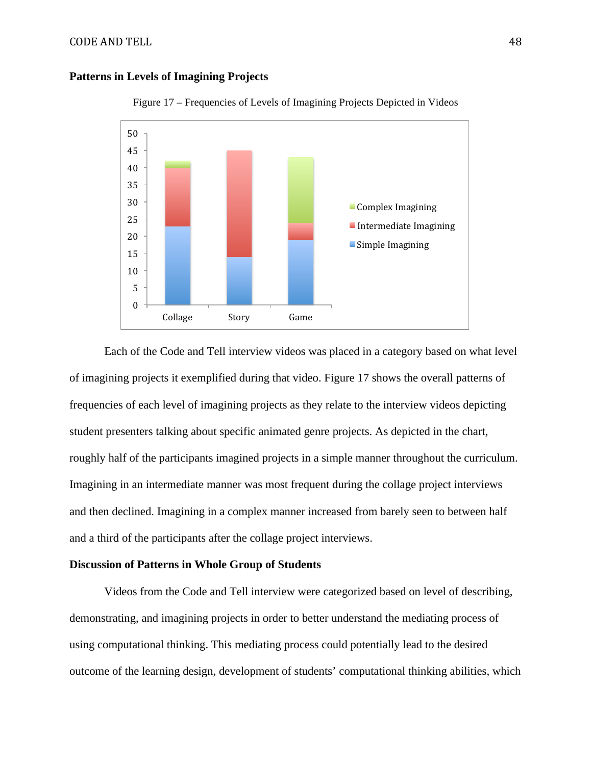# **Patterns in Levels of Imagining Projects**



Figure 17 – Frequencies of Levels of Imagining Projects Depicted in Videos

Each of the Code and Tell interview videos was placed in a category based on what level of imagining projects it exemplified during that video. Figure 17 shows the overall patterns of frequencies of each level of imagining projects as they relate to the interview videos depicting student presenters talking about specific animated genre projects. As depicted in the chart, roughly half of the participants imagined projects in a simple manner throughout the curriculum. Imagining in an intermediate manner was most frequent during the collage project interviews and then declined. Imagining in a complex manner increased from barely seen to between half and a third of the participants after the collage project interviews.

# **Discussion of Patterns in Whole Group of Students**

Videos from the Code and Tell interview were categorized based on level of describing, demonstrating, and imagining projects in order to better understand the mediating process of using computational thinking. This mediating process could potentially lead to the desired outcome of the learning design, development of students' computational thinking abilities, which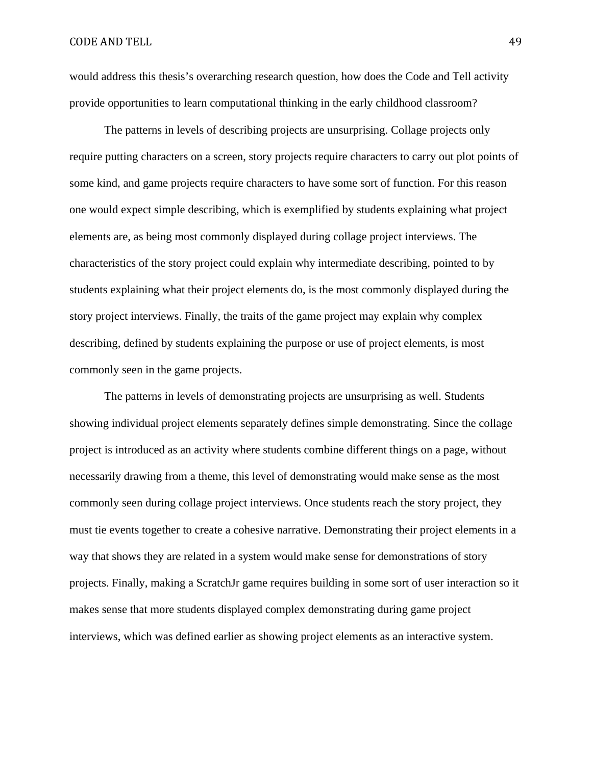would address this thesis's overarching research question, how does the Code and Tell activity provide opportunities to learn computational thinking in the early childhood classroom?

The patterns in levels of describing projects are unsurprising. Collage projects only require putting characters on a screen, story projects require characters to carry out plot points of some kind, and game projects require characters to have some sort of function. For this reason one would expect simple describing, which is exemplified by students explaining what project elements are, as being most commonly displayed during collage project interviews. The characteristics of the story project could explain why intermediate describing, pointed to by students explaining what their project elements do, is the most commonly displayed during the story project interviews. Finally, the traits of the game project may explain why complex describing, defined by students explaining the purpose or use of project elements, is most commonly seen in the game projects.

The patterns in levels of demonstrating projects are unsurprising as well. Students showing individual project elements separately defines simple demonstrating. Since the collage project is introduced as an activity where students combine different things on a page, without necessarily drawing from a theme, this level of demonstrating would make sense as the most commonly seen during collage project interviews. Once students reach the story project, they must tie events together to create a cohesive narrative. Demonstrating their project elements in a way that shows they are related in a system would make sense for demonstrations of story projects. Finally, making a ScratchJr game requires building in some sort of user interaction so it makes sense that more students displayed complex demonstrating during game project interviews, which was defined earlier as showing project elements as an interactive system.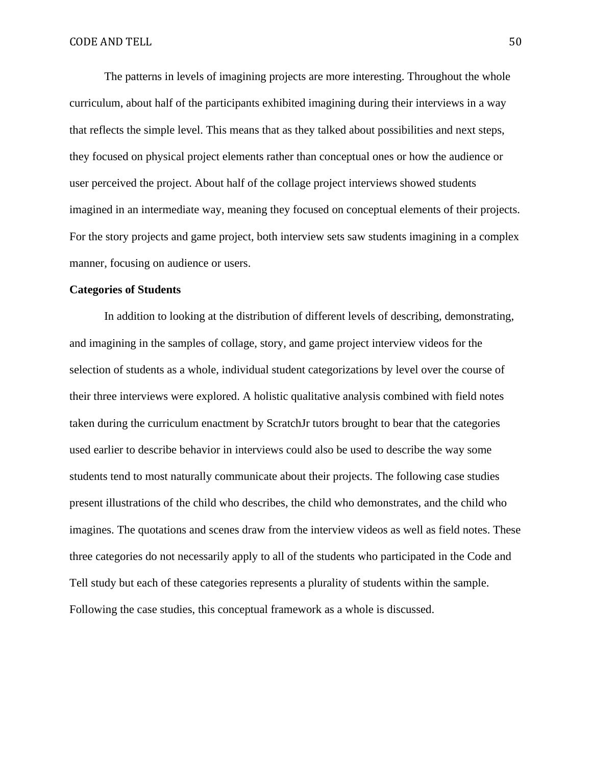The patterns in levels of imagining projects are more interesting. Throughout the whole curriculum, about half of the participants exhibited imagining during their interviews in a way that reflects the simple level. This means that as they talked about possibilities and next steps, they focused on physical project elements rather than conceptual ones or how the audience or user perceived the project. About half of the collage project interviews showed students imagined in an intermediate way, meaning they focused on conceptual elements of their projects. For the story projects and game project, both interview sets saw students imagining in a complex manner, focusing on audience or users.

#### **Categories of Students**

In addition to looking at the distribution of different levels of describing, demonstrating, and imagining in the samples of collage, story, and game project interview videos for the selection of students as a whole, individual student categorizations by level over the course of their three interviews were explored. A holistic qualitative analysis combined with field notes taken during the curriculum enactment by ScratchJr tutors brought to bear that the categories used earlier to describe behavior in interviews could also be used to describe the way some students tend to most naturally communicate about their projects. The following case studies present illustrations of the child who describes, the child who demonstrates, and the child who imagines. The quotations and scenes draw from the interview videos as well as field notes. These three categories do not necessarily apply to all of the students who participated in the Code and Tell study but each of these categories represents a plurality of students within the sample. Following the case studies, this conceptual framework as a whole is discussed.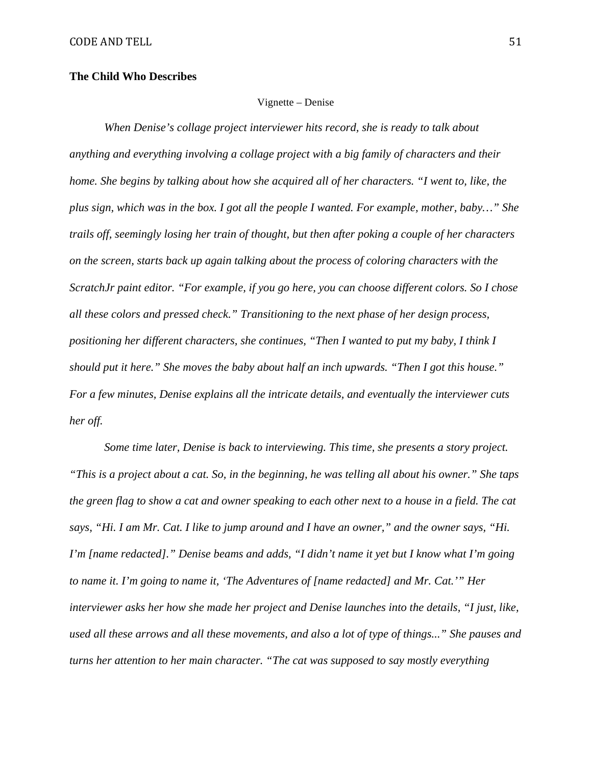### **The Child Who Describes**

### Vignette – Denise

*When Denise's collage project interviewer hits record, she is ready to talk about anything and everything involving a collage project with a big family of characters and their home. She begins by talking about how she acquired all of her characters. "I went to, like, the plus sign, which was in the box. I got all the people I wanted. For example, mother, baby…" She trails off, seemingly losing her train of thought, but then after poking a couple of her characters on the screen, starts back up again talking about the process of coloring characters with the ScratchJr paint editor. "For example, if you go here, you can choose different colors. So I chose all these colors and pressed check." Transitioning to the next phase of her design process, positioning her different characters, she continues, "Then I wanted to put my baby, I think I should put it here." She moves the baby about half an inch upwards. "Then I got this house." For a few minutes, Denise explains all the intricate details, and eventually the interviewer cuts her off.*

*Some time later, Denise is back to interviewing. This time, she presents a story project. "This is a project about a cat. So, in the beginning, he was telling all about his owner." She taps the green flag to show a cat and owner speaking to each other next to a house in a field. The cat says, "Hi. I am Mr. Cat. I like to jump around and I have an owner," and the owner says, "Hi. I'm [name redacted]." Denise beams and adds, "I didn't name it yet but I know what I'm going to name it. I'm going to name it, 'The Adventures of [name redacted] and Mr. Cat.'" Her interviewer asks her how she made her project and Denise launches into the details, "I just, like, used all these arrows and all these movements, and also a lot of type of things..." She pauses and turns her attention to her main character. "The cat was supposed to say mostly everything*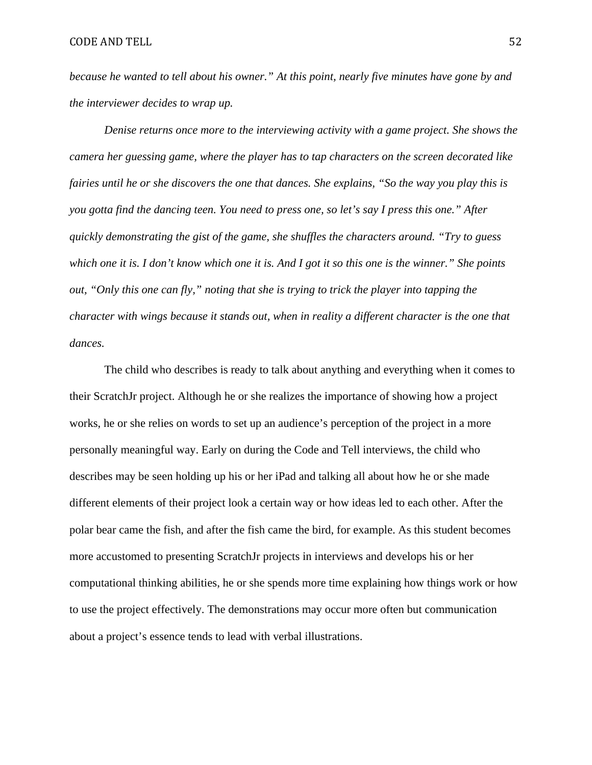*because he wanted to tell about his owner." At this point, nearly five minutes have gone by and the interviewer decides to wrap up.*

*Denise returns once more to the interviewing activity with a game project. She shows the camera her guessing game, where the player has to tap characters on the screen decorated like fairies until he or she discovers the one that dances. She explains, "So the way you play this is you gotta find the dancing teen. You need to press one, so let's say I press this one." After quickly demonstrating the gist of the game, she shuffles the characters around. "Try to guess which one it is. I don't know which one it is. And I got it so this one is the winner." She points out, "Only this one can fly," noting that she is trying to trick the player into tapping the character with wings because it stands out, when in reality a different character is the one that dances.*

The child who describes is ready to talk about anything and everything when it comes to their ScratchJr project. Although he or she realizes the importance of showing how a project works, he or she relies on words to set up an audience's perception of the project in a more personally meaningful way. Early on during the Code and Tell interviews, the child who describes may be seen holding up his or her iPad and talking all about how he or she made different elements of their project look a certain way or how ideas led to each other. After the polar bear came the fish, and after the fish came the bird, for example. As this student becomes more accustomed to presenting ScratchJr projects in interviews and develops his or her computational thinking abilities, he or she spends more time explaining how things work or how to use the project effectively. The demonstrations may occur more often but communication about a project's essence tends to lead with verbal illustrations.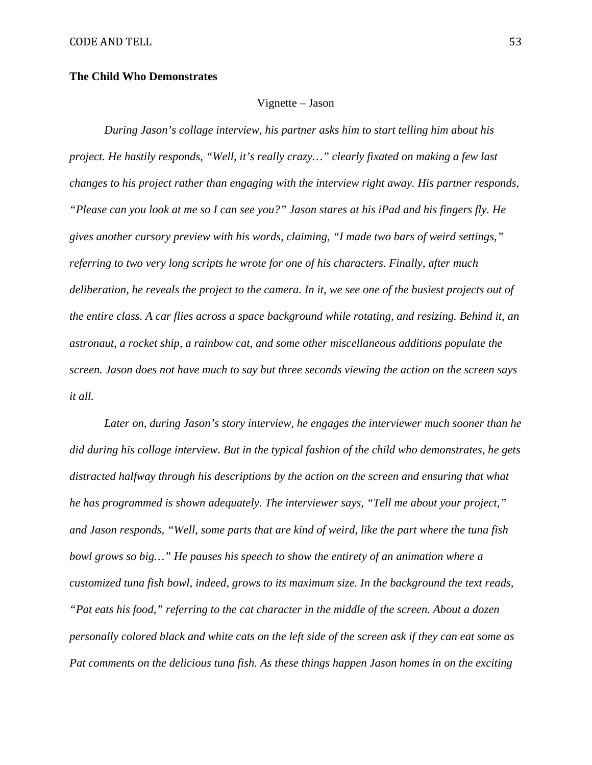### **The Child Who Demonstrates**

#### Vignette – Jason

*During Jason's collage interview, his partner asks him to start telling him about his project. He hastily responds, "Well, it's really crazy…" clearly fixated on making a few last changes to his project rather than engaging with the interview right away. His partner responds, "Please can you look at me so I can see you?" Jason stares at his iPad and his fingers fly. He gives another cursory preview with his words, claiming, "I made two bars of weird settings," referring to two very long scripts he wrote for one of his characters. Finally, after much deliberation, he reveals the project to the camera. In it, we see one of the busiest projects out of the entire class. A car flies across a space background while rotating, and resizing. Behind it, an astronaut, a rocket ship, a rainbow cat, and some other miscellaneous additions populate the screen. Jason does not have much to say but three seconds viewing the action on the screen says it all.* 

*Later on, during Jason's story interview, he engages the interviewer much sooner than he did during his collage interview. But in the typical fashion of the child who demonstrates, he gets distracted halfway through his descriptions by the action on the screen and ensuring that what he has programmed is shown adequately. The interviewer says, "Tell me about your project," and Jason responds, "Well, some parts that are kind of weird, like the part where the tuna fish bowl grows so big…" He pauses his speech to show the entirety of an animation where a customized tuna fish bowl, indeed, grows to its maximum size. In the background the text reads, "Pat eats his food," referring to the cat character in the middle of the screen. About a dozen personally colored black and white cats on the left side of the screen ask if they can eat some as Pat comments on the delicious tuna fish. As these things happen Jason homes in on the exciting*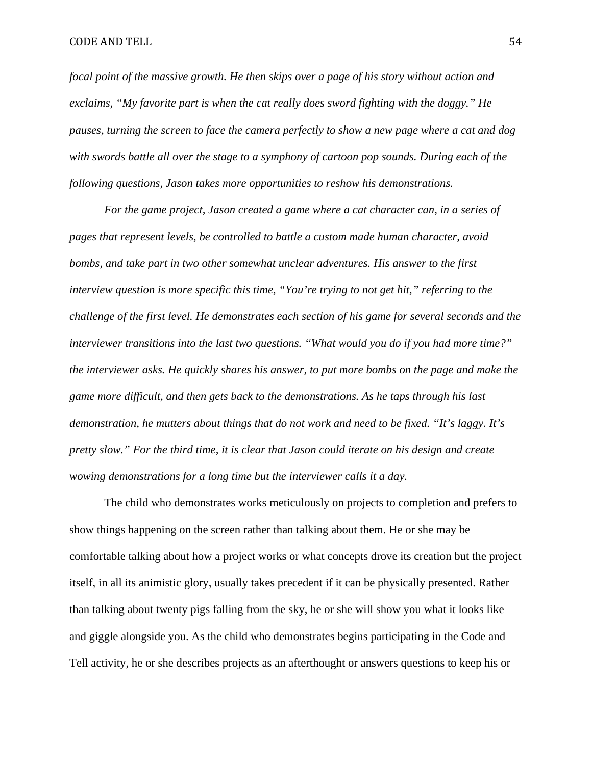*focal point of the massive growth. He then skips over a page of his story without action and exclaims, "My favorite part is when the cat really does sword fighting with the doggy." He pauses, turning the screen to face the camera perfectly to show a new page where a cat and dog with swords battle all over the stage to a symphony of cartoon pop sounds. During each of the following questions, Jason takes more opportunities to reshow his demonstrations.*

*For the game project, Jason created a game where a cat character can, in a series of pages that represent levels, be controlled to battle a custom made human character, avoid bombs, and take part in two other somewhat unclear adventures. His answer to the first interview question is more specific this time, "You're trying to not get hit," referring to the challenge of the first level. He demonstrates each section of his game for several seconds and the interviewer transitions into the last two questions. "What would you do if you had more time?" the interviewer asks. He quickly shares his answer, to put more bombs on the page and make the game more difficult, and then gets back to the demonstrations. As he taps through his last demonstration, he mutters about things that do not work and need to be fixed. "It's laggy. It's pretty slow." For the third time, it is clear that Jason could iterate on his design and create wowing demonstrations for a long time but the interviewer calls it a day.*

The child who demonstrates works meticulously on projects to completion and prefers to show things happening on the screen rather than talking about them. He or she may be comfortable talking about how a project works or what concepts drove its creation but the project itself, in all its animistic glory, usually takes precedent if it can be physically presented. Rather than talking about twenty pigs falling from the sky, he or she will show you what it looks like and giggle alongside you. As the child who demonstrates begins participating in the Code and Tell activity, he or she describes projects as an afterthought or answers questions to keep his or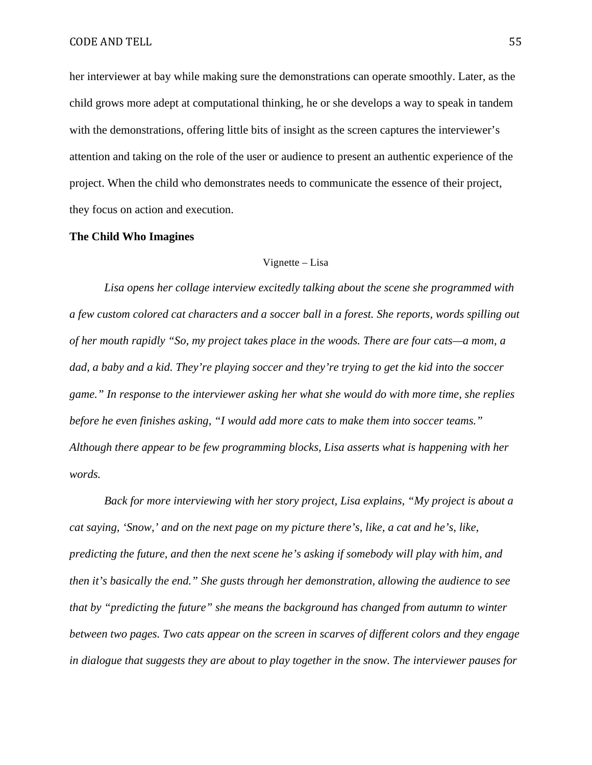her interviewer at bay while making sure the demonstrations can operate smoothly. Later, as the child grows more adept at computational thinking, he or she develops a way to speak in tandem with the demonstrations, offering little bits of insight as the screen captures the interviewer's attention and taking on the role of the user or audience to present an authentic experience of the project. When the child who demonstrates needs to communicate the essence of their project, they focus on action and execution.

#### **The Child Who Imagines**

### Vignette – Lisa

*Lisa opens her collage interview excitedly talking about the scene she programmed with a few custom colored cat characters and a soccer ball in a forest. She reports, words spilling out of her mouth rapidly "So, my project takes place in the woods. There are four cats—a mom, a dad, a baby and a kid. They're playing soccer and they're trying to get the kid into the soccer game." In response to the interviewer asking her what she would do with more time, she replies before he even finishes asking, "I would add more cats to make them into soccer teams." Although there appear to be few programming blocks, Lisa asserts what is happening with her words.*

*Back for more interviewing with her story project, Lisa explains, "My project is about a cat saying, 'Snow,' and on the next page on my picture there's, like, a cat and he's, like, predicting the future, and then the next scene he's asking if somebody will play with him, and then it's basically the end." She gusts through her demonstration, allowing the audience to see that by "predicting the future" she means the background has changed from autumn to winter between two pages. Two cats appear on the screen in scarves of different colors and they engage in dialogue that suggests they are about to play together in the snow. The interviewer pauses for*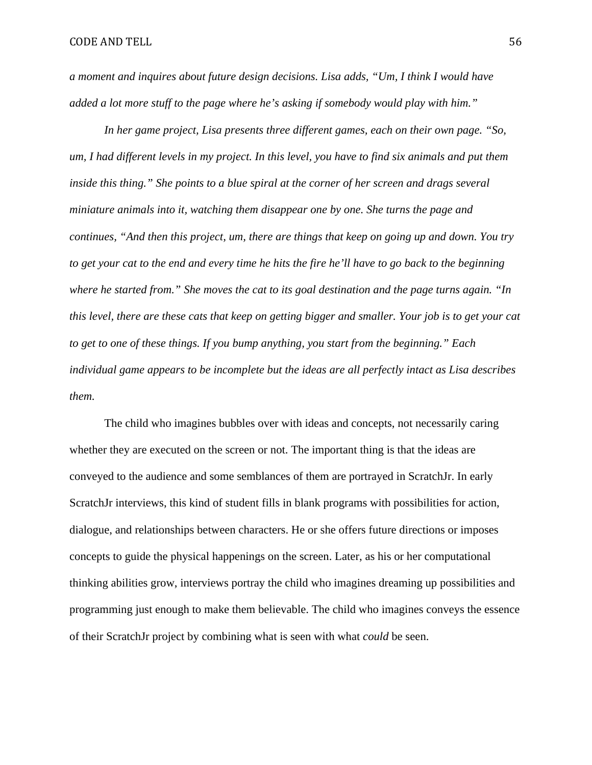*a moment and inquires about future design decisions. Lisa adds, "Um, I think I would have added a lot more stuff to the page where he's asking if somebody would play with him."* 

*In her game project, Lisa presents three different games, each on their own page. "So, um, I had different levels in my project. In this level, you have to find six animals and put them inside this thing." She points to a blue spiral at the corner of her screen and drags several miniature animals into it, watching them disappear one by one. She turns the page and continues, "And then this project, um, there are things that keep on going up and down. You try to get your cat to the end and every time he hits the fire he'll have to go back to the beginning where he started from." She moves the cat to its goal destination and the page turns again. "In this level, there are these cats that keep on getting bigger and smaller. Your job is to get your cat to get to one of these things. If you bump anything, you start from the beginning." Each individual game appears to be incomplete but the ideas are all perfectly intact as Lisa describes them.*

The child who imagines bubbles over with ideas and concepts, not necessarily caring whether they are executed on the screen or not. The important thing is that the ideas are conveyed to the audience and some semblances of them are portrayed in ScratchJr. In early ScratchJr interviews, this kind of student fills in blank programs with possibilities for action, dialogue, and relationships between characters. He or she offers future directions or imposes concepts to guide the physical happenings on the screen. Later, as his or her computational thinking abilities grow, interviews portray the child who imagines dreaming up possibilities and programming just enough to make them believable. The child who imagines conveys the essence of their ScratchJr project by combining what is seen with what *could* be seen.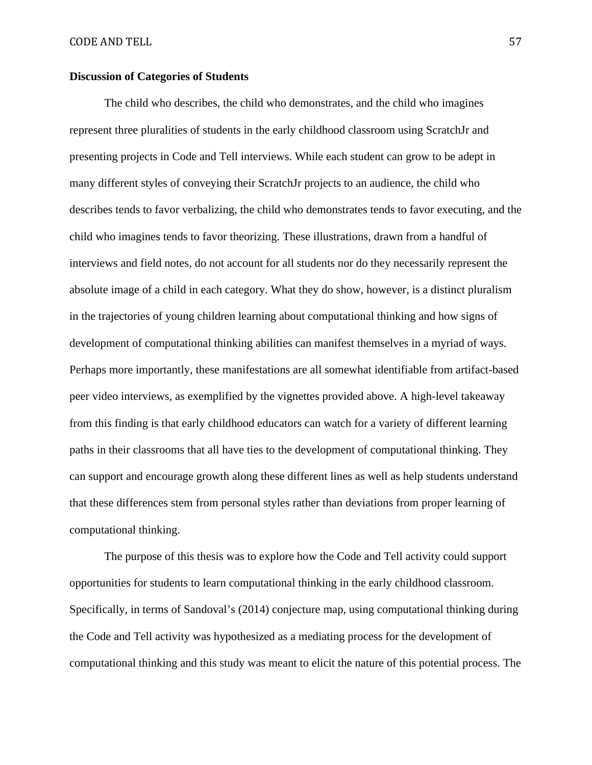### **Discussion of Categories of Students**

The child who describes, the child who demonstrates, and the child who imagines represent three pluralities of students in the early childhood classroom using ScratchJr and presenting projects in Code and Tell interviews. While each student can grow to be adept in many different styles of conveying their ScratchJr projects to an audience, the child who describes tends to favor verbalizing, the child who demonstrates tends to favor executing, and the child who imagines tends to favor theorizing. These illustrations, drawn from a handful of interviews and field notes, do not account for all students nor do they necessarily represent the absolute image of a child in each category. What they do show, however, is a distinct pluralism in the trajectories of young children learning about computational thinking and how signs of development of computational thinking abilities can manifest themselves in a myriad of ways. Perhaps more importantly, these manifestations are all somewhat identifiable from artifact-based peer video interviews, as exemplified by the vignettes provided above. A high-level takeaway from this finding is that early childhood educators can watch for a variety of different learning paths in their classrooms that all have ties to the development of computational thinking. They can support and encourage growth along these different lines as well as help students understand that these differences stem from personal styles rather than deviations from proper learning of computational thinking.

The purpose of this thesis was to explore how the Code and Tell activity could support opportunities for students to learn computational thinking in the early childhood classroom. Specifically, in terms of Sandoval's (2014) conjecture map, using computational thinking during the Code and Tell activity was hypothesized as a mediating process for the development of computational thinking and this study was meant to elicit the nature of this potential process. The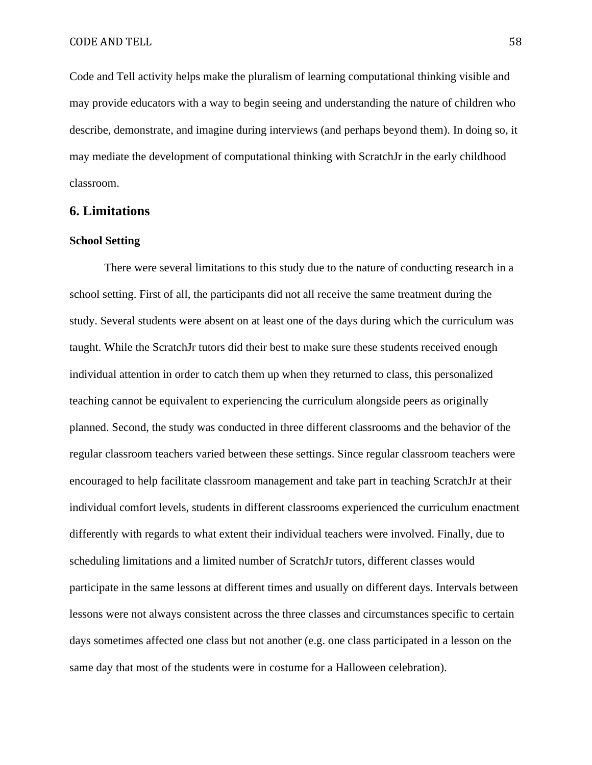Code and Tell activity helps make the pluralism of learning computational thinking visible and may provide educators with a way to begin seeing and understanding the nature of children who describe, demonstrate, and imagine during interviews (and perhaps beyond them). In doing so, it may mediate the development of computational thinking with ScratchJr in the early childhood classroom.

# **6. Limitations**

#### **School Setting**

There were several limitations to this study due to the nature of conducting research in a school setting. First of all, the participants did not all receive the same treatment during the study. Several students were absent on at least one of the days during which the curriculum was taught. While the ScratchJr tutors did their best to make sure these students received enough individual attention in order to catch them up when they returned to class, this personalized teaching cannot be equivalent to experiencing the curriculum alongside peers as originally planned. Second, the study was conducted in three different classrooms and the behavior of the regular classroom teachers varied between these settings. Since regular classroom teachers were encouraged to help facilitate classroom management and take part in teaching ScratchJr at their individual comfort levels, students in different classrooms experienced the curriculum enactment differently with regards to what extent their individual teachers were involved. Finally, due to scheduling limitations and a limited number of ScratchJr tutors, different classes would participate in the same lessons at different times and usually on different days. Intervals between lessons were not always consistent across the three classes and circumstances specific to certain days sometimes affected one class but not another (e.g. one class participated in a lesson on the same day that most of the students were in costume for a Halloween celebration).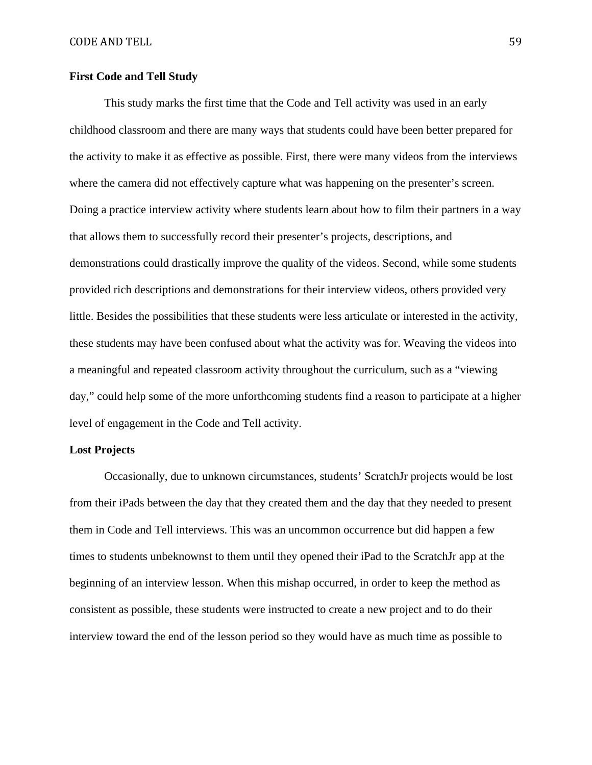## **First Code and Tell Study**

This study marks the first time that the Code and Tell activity was used in an early childhood classroom and there are many ways that students could have been better prepared for the activity to make it as effective as possible. First, there were many videos from the interviews where the camera did not effectively capture what was happening on the presenter's screen. Doing a practice interview activity where students learn about how to film their partners in a way that allows them to successfully record their presenter's projects, descriptions, and demonstrations could drastically improve the quality of the videos. Second, while some students provided rich descriptions and demonstrations for their interview videos, others provided very little. Besides the possibilities that these students were less articulate or interested in the activity, these students may have been confused about what the activity was for. Weaving the videos into a meaningful and repeated classroom activity throughout the curriculum, such as a "viewing day," could help some of the more unforthcoming students find a reason to participate at a higher level of engagement in the Code and Tell activity.

#### **Lost Projects**

Occasionally, due to unknown circumstances, students' ScratchJr projects would be lost from their iPads between the day that they created them and the day that they needed to present them in Code and Tell interviews. This was an uncommon occurrence but did happen a few times to students unbeknownst to them until they opened their iPad to the ScratchJr app at the beginning of an interview lesson. When this mishap occurred, in order to keep the method as consistent as possible, these students were instructed to create a new project and to do their interview toward the end of the lesson period so they would have as much time as possible to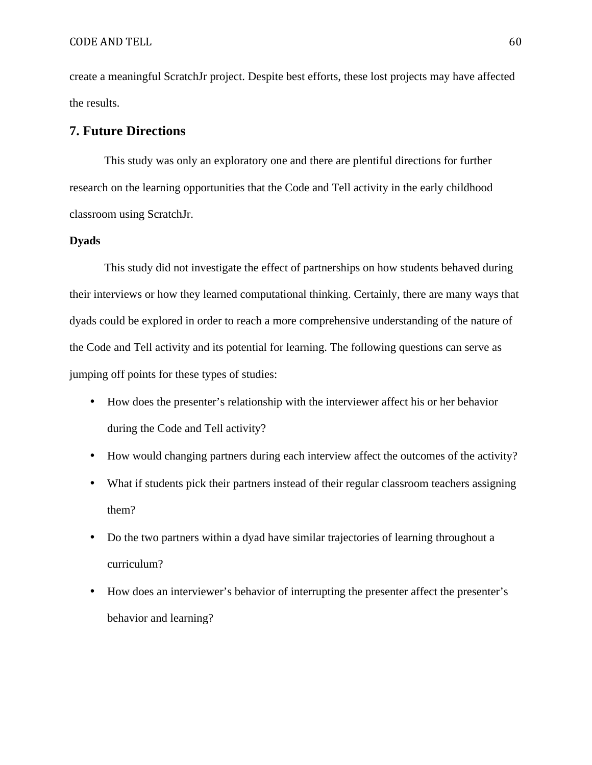create a meaningful ScratchJr project. Despite best efforts, these lost projects may have affected the results.

# **7. Future Directions**

This study was only an exploratory one and there are plentiful directions for further research on the learning opportunities that the Code and Tell activity in the early childhood classroom using ScratchJr.

# **Dyads**

This study did not investigate the effect of partnerships on how students behaved during their interviews or how they learned computational thinking. Certainly, there are many ways that dyads could be explored in order to reach a more comprehensive understanding of the nature of the Code and Tell activity and its potential for learning. The following questions can serve as jumping off points for these types of studies:

- How does the presenter's relationship with the interviewer affect his or her behavior during the Code and Tell activity?
- How would changing partners during each interview affect the outcomes of the activity?
- What if students pick their partners instead of their regular classroom teachers assigning them?
- Do the two partners within a dyad have similar trajectories of learning throughout a curriculum?
- How does an interviewer's behavior of interrupting the presenter affect the presenter's behavior and learning?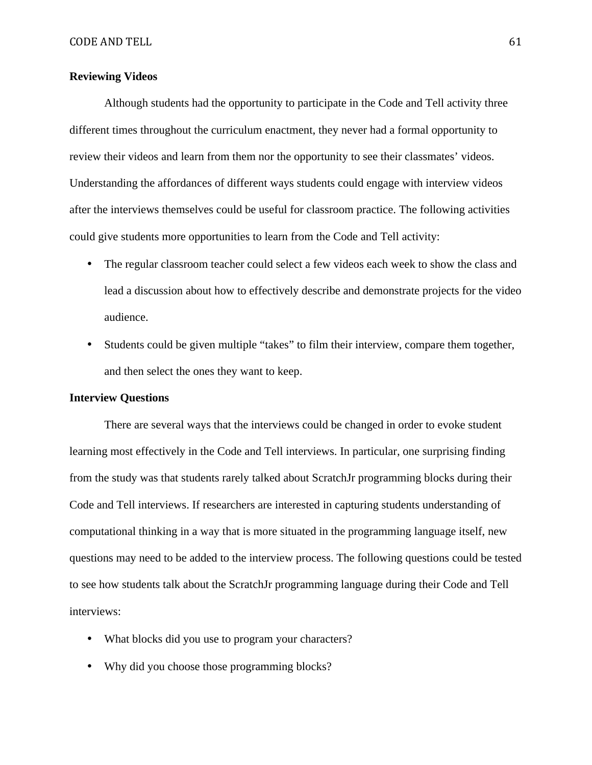## **Reviewing Videos**

Although students had the opportunity to participate in the Code and Tell activity three different times throughout the curriculum enactment, they never had a formal opportunity to review their videos and learn from them nor the opportunity to see their classmates' videos. Understanding the affordances of different ways students could engage with interview videos after the interviews themselves could be useful for classroom practice. The following activities could give students more opportunities to learn from the Code and Tell activity:

- The regular classroom teacher could select a few videos each week to show the class and lead a discussion about how to effectively describe and demonstrate projects for the video audience.
- Students could be given multiple "takes" to film their interview, compare them together, and then select the ones they want to keep.

# **Interview Questions**

There are several ways that the interviews could be changed in order to evoke student learning most effectively in the Code and Tell interviews. In particular, one surprising finding from the study was that students rarely talked about ScratchJr programming blocks during their Code and Tell interviews. If researchers are interested in capturing students understanding of computational thinking in a way that is more situated in the programming language itself, new questions may need to be added to the interview process. The following questions could be tested to see how students talk about the ScratchJr programming language during their Code and Tell interviews:

- What blocks did you use to program your characters?
- Why did you choose those programming blocks?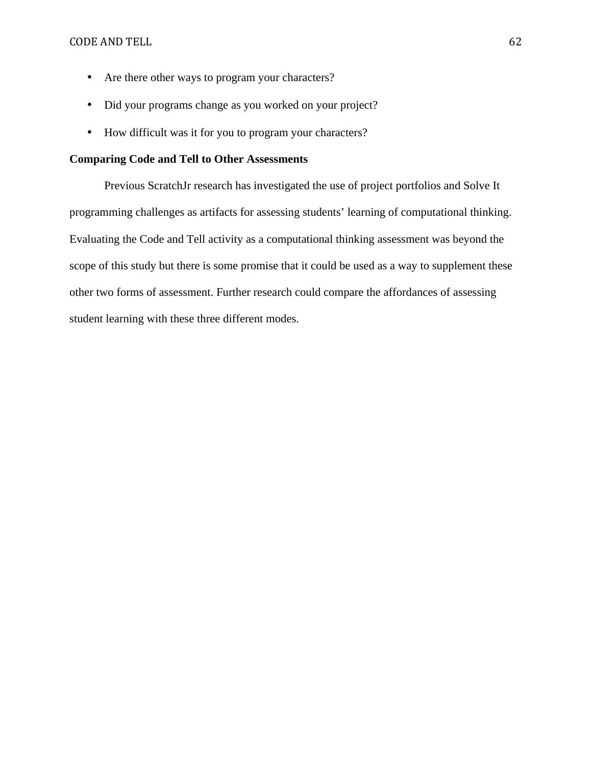- Are there other ways to program your characters?
- Did your programs change as you worked on your project?
- How difficult was it for you to program your characters?

# **Comparing Code and Tell to Other Assessments**

Previous ScratchJr research has investigated the use of project portfolios and Solve It programming challenges as artifacts for assessing students' learning of computational thinking. Evaluating the Code and Tell activity as a computational thinking assessment was beyond the scope of this study but there is some promise that it could be used as a way to supplement these other two forms of assessment. Further research could compare the affordances of assessing student learning with these three different modes.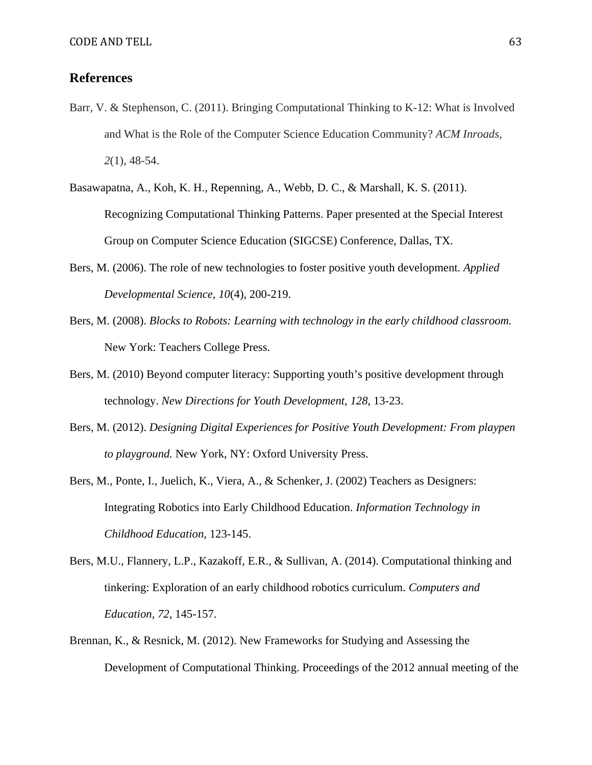# **References**

- Barr, V. & Stephenson, C. (2011). Bringing Computational Thinking to K-12: What is Involved and What is the Role of the Computer Science Education Community? *ACM Inroads, 2*(1), 48-54.
- Basawapatna, A., Koh, K. H., Repenning, A., Webb, D. C., & Marshall, K. S. (2011). Recognizing Computational Thinking Patterns. Paper presented at the Special Interest Group on Computer Science Education (SIGCSE) Conference, Dallas, TX.
- Bers, M. (2006). The role of new technologies to foster positive youth development. *Applied Developmental Science, 10*(4), 200-219.
- Bers, M. (2008). *Blocks to Robots: Learning with technology in the early childhood classroom.*  New York: Teachers College Press.
- Bers, M. (2010) Beyond computer literacy: Supporting youth's positive development through technology. *New Directions for Youth Development, 128*, 13-23.
- Bers, M. (2012). *Designing Digital Experiences for Positive Youth Development: From playpen to playground.* New York, NY: Oxford University Press.
- Bers, M., Ponte, I., Juelich, K., Viera, A., & Schenker, J. (2002) Teachers as Designers: Integrating Robotics into Early Childhood Education. *Information Technology in Childhood Education*, 123-145.
- Bers, M.U., Flannery, L.P., Kazakoff, E.R., & Sullivan, A. (2014). Computational thinking and tinkering: Exploration of an early childhood robotics curriculum. *Computers and Education, 72*, 145-157.
- Brennan, K., & Resnick, M. (2012). New Frameworks for Studying and Assessing the Development of Computational Thinking. Proceedings of the 2012 annual meeting of the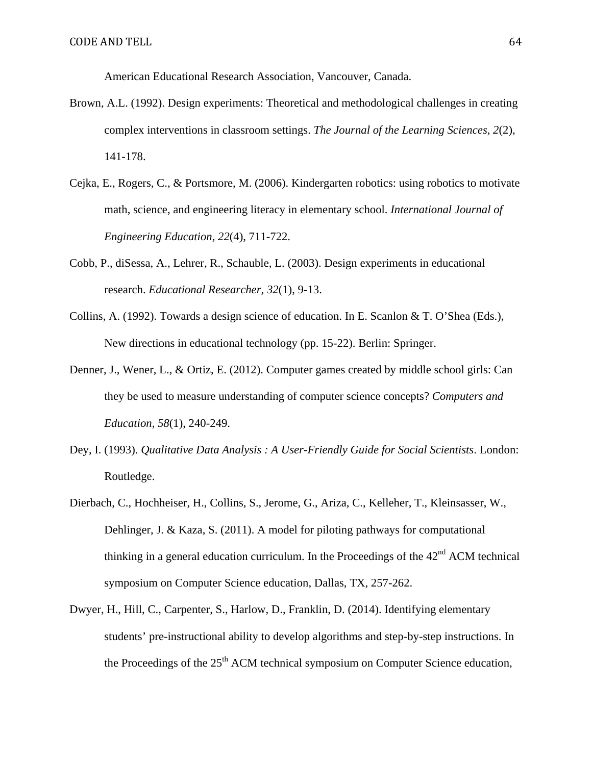American Educational Research Association, Vancouver, Canada.

- Brown, A.L. (1992). Design experiments: Theoretical and methodological challenges in creating complex interventions in classroom settings. *The Journal of the Learning Sciences*, *2*(2), 141-178.
- Cejka, E., Rogers, C., & Portsmore, M. (2006). Kindergarten robotics: using robotics to motivate math, science, and engineering literacy in elementary school. *International Journal of Engineering Education, 22*(4), 711-722.
- Cobb, P., diSessa, A., Lehrer, R., Schauble, L. (2003). Design experiments in educational research. *Educational Researcher, 32*(1), 9-13.
- Collins, A. (1992). Towards a design science of education. In E. Scanlon & T. O'Shea (Eds.), New directions in educational technology (pp. 15-22). Berlin: Springer.
- Denner, J., Wener, L., & Ortiz, E. (2012). Computer games created by middle school girls: Can they be used to measure understanding of computer science concepts? *Computers and Education, 58*(1), 240-249.
- Dey, I. (1993). *Qualitative Data Analysis : A User-Friendly Guide for Social Scientists*. London: Routledge.
- Dierbach, C., Hochheiser, H., Collins, S., Jerome, G., Ariza, C., Kelleher, T., Kleinsasser, W., Dehlinger, J. & Kaza, S. (2011). A model for piloting pathways for computational thinking in a general education curriculum. In the Proceedings of the  $42<sup>nd</sup>$  ACM technical symposium on Computer Science education, Dallas, TX, 257-262.
- Dwyer, H., Hill, C., Carpenter, S., Harlow, D., Franklin, D. (2014). Identifying elementary students' pre-instructional ability to develop algorithms and step-by-step instructions. In the Proceedings of the  $25<sup>th</sup>$  ACM technical symposium on Computer Science education,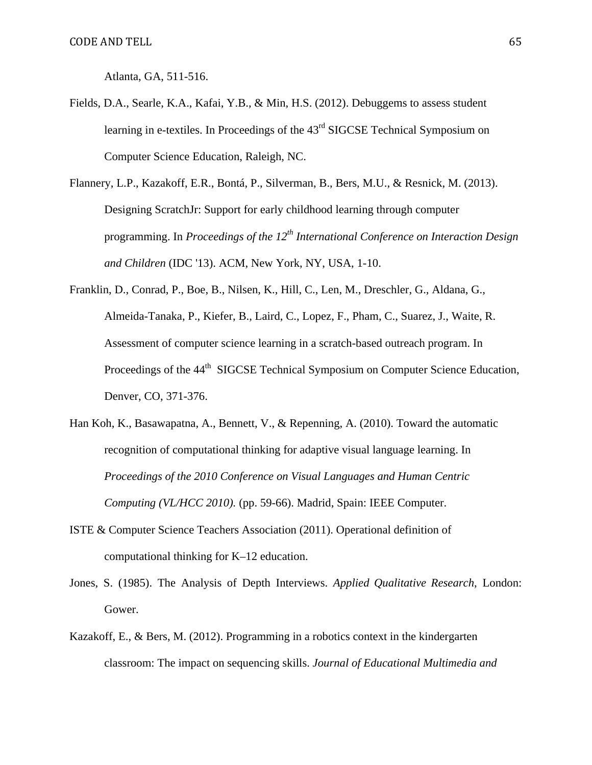Atlanta, GA, 511-516.

- Fields, D.A., Searle, K.A., Kafai, Y.B., & Min, H.S. (2012). Debuggems to assess student learning in e-textiles. In Proceedings of the 43<sup>rd</sup> SIGCSE Technical Symposium on Computer Science Education, Raleigh, NC.
- Flannery, L.P., Kazakoff, E.R., Bontá, P., Silverman, B., Bers, M.U., & Resnick, M. (2013). Designing ScratchJr: Support for early childhood learning through computer programming. In *Proceedings of the 12th International Conference on Interaction Design and Children* (IDC '13). ACM, New York, NY, USA, 1-10.
- Franklin, D., Conrad, P., Boe, B., Nilsen, K., Hill, C., Len, M., Dreschler, G., Aldana, G., Almeida-Tanaka, P., Kiefer, B., Laird, C., Lopez, F., Pham, C., Suarez, J., Waite, R. Assessment of computer science learning in a scratch-based outreach program. In Proceedings of the 44<sup>th</sup> SIGCSE Technical Symposium on Computer Science Education, Denver, CO, 371-376.
- Han Koh, K., Basawapatna, A., Bennett, V., & Repenning, A. (2010). Toward the automatic recognition of computational thinking for adaptive visual language learning. In *Proceedings of the 2010 Conference on Visual Languages and Human Centric Computing (VL/HCC 2010).* (pp. 59-66). Madrid, Spain: IEEE Computer.
- ISTE & Computer Science Teachers Association (2011). Operational definition of computational thinking for K–12 education.
- Jones, S. (1985). The Analysis of Depth Interviews. *Applied Qualitative Research*, London: Gower.
- Kazakoff, E., & Bers, M. (2012). Programming in a robotics context in the kindergarten classroom: The impact on sequencing skills. *Journal of Educational Multimedia and*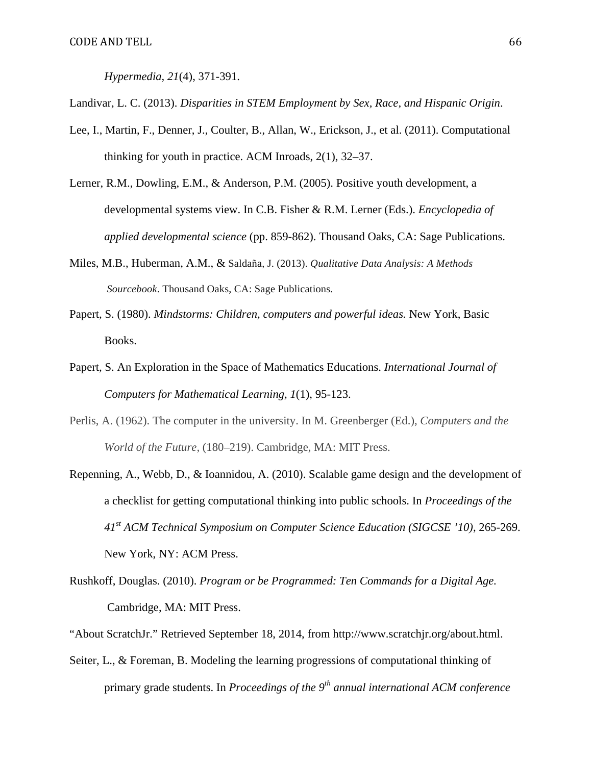*Hypermedia, 21*(4), 371-391.

Landivar, L. C. (2013). *Disparities in STEM Employment by Sex, Race, and Hispanic Origin*.

- Lee, I., Martin, F., Denner, J., Coulter, B., Allan, W., Erickson, J., et al. (2011). Computational thinking for youth in practice. ACM Inroads, 2(1), 32–37.
- Lerner, R.M., Dowling, E.M., & Anderson, P.M. (2005). Positive youth development, a developmental systems view. In C.B. Fisher & R.M. Lerner (Eds.). *Encyclopedia of applied developmental science* (pp. 859-862). Thousand Oaks, CA: Sage Publications.
- Miles, M.B., Huberman, A.M., & Saldaña, J. (2013). *Qualitative Data Analysis: A Methods Sourcebook*. Thousand Oaks, CA: Sage Publications*.*
- Papert, S. (1980). *Mindstorms: Children, computers and powerful ideas.* New York, Basic Books.
- Papert, S. An Exploration in the Space of Mathematics Educations. *International Journal of Computers for Mathematical Learning, 1*(1), 95-123.
- Perlis, A. (1962). The computer in the university. In M. Greenberger (Ed.), *Computers and the World of the Future,* (180–219). Cambridge, MA: MIT Press.
- Repenning, A., Webb, D., & Ioannidou, A. (2010). Scalable game design and the development of a checklist for getting computational thinking into public schools. In *Proceedings of the 41st ACM Technical Symposium on Computer Science Education (SIGCSE '10)*, 265-269. New York, NY: ACM Press.
- Rushkoff, Douglas. (2010). *Program or be Programmed: Ten Commands for a Digital Age.* Cambridge, MA: MIT Press.
- "About ScratchJr." Retrieved September 18, 2014, from http://www.scratchjr.org/about.html.
- Seiter, L., & Foreman, B. Modeling the learning progressions of computational thinking of primary grade students. In *Proceedings of the 9th annual international ACM conference*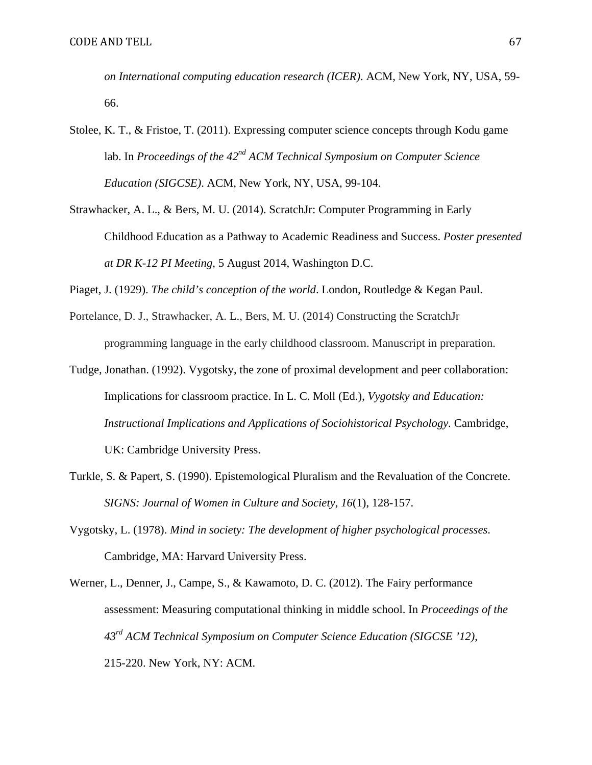*on International computing education research (ICER)*. ACM, New York, NY, USA, 59- 66.

- Stolee, K. T., & Fristoe, T. (2011). Expressing computer science concepts through Kodu game lab. In *Proceedings of the 42nd ACM Technical Symposium on Computer Science Education (SIGCSE)*. ACM, New York, NY, USA, 99-104.
- Strawhacker, A. L., & Bers, M. U. (2014). ScratchJr: Computer Programming in Early Childhood Education as a Pathway to Academic Readiness and Success. *Poster presented at DR K-12 PI Meeting*, 5 August 2014, Washington D.C.

Piaget, J. (1929). *The child's conception of the world*. London, Routledge & Kegan Paul.

- Portelance, D. J., Strawhacker, A. L., Bers, M. U. (2014) Constructing the ScratchJr programming language in the early childhood classroom. Manuscript in preparation.
- Tudge, Jonathan. (1992). Vygotsky, the zone of proximal development and peer collaboration: Implications for classroom practice. In L. C. Moll (Ed.), *Vygotsky and Education: Instructional Implications and Applications of Sociohistorical Psychology.* Cambridge, UK: Cambridge University Press.
- Turkle, S. & Papert, S. (1990). Epistemological Pluralism and the Revaluation of the Concrete. *SIGNS: Journal of Women in Culture and Society, 16*(1), 128-157.
- Vygotsky, L. (1978). *Mind in society: The development of higher psychological processes*. Cambridge, MA: Harvard University Press.
- Werner, L., Denner, J., Campe, S., & Kawamoto, D. C. (2012). The Fairy performance assessment: Measuring computational thinking in middle school. In *Proceedings of the 43rd ACM Technical Symposium on Computer Science Education (SIGCSE '12)*, 215-220. New York, NY: ACM.